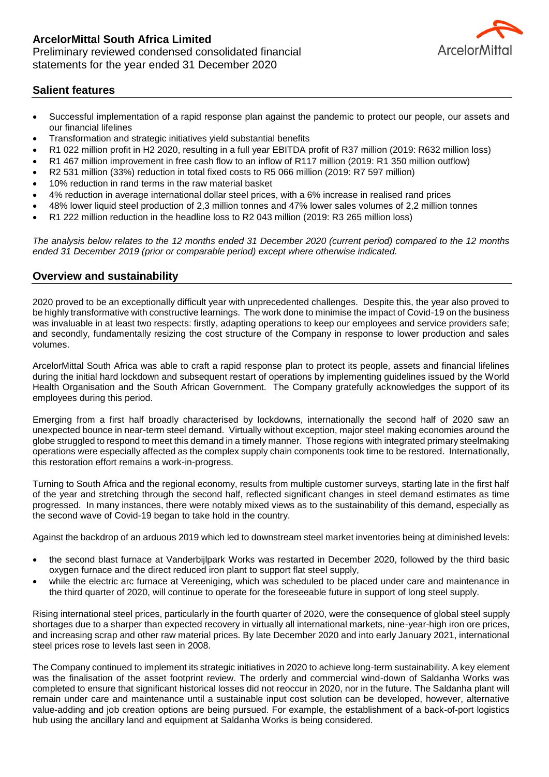

# **Salient features**

- Successful implementation of a rapid response plan against the pandemic to protect our people, our assets and our financial lifelines
- Transformation and strategic initiatives yield substantial benefits
- R1 022 million profit in H2 2020, resulting in a full year EBITDA profit of R37 million (2019: R632 million loss)
- R1 467 million improvement in free cash flow to an inflow of R117 million (2019: R1 350 million outflow)
- R2 531 million (33%) reduction in total fixed costs to R5 066 million (2019: R7 597 million)
- 10% reduction in rand terms in the raw material basket
- 4% reduction in average international dollar steel prices, with a 6% increase in realised rand prices
- 48% lower liquid steel production of 2,3 million tonnes and 47% lower sales volumes of 2,2 million tonnes
- R1 222 million reduction in the headline loss to R2 043 million (2019: R3 265 million loss)

*The analysis below relates to the 12 months ended 31 December 2020 (current period) compared to the 12 months ended 31 December 2019 (prior or comparable period) except where otherwise indicated.*

### **Overview and sustainability**

2020 proved to be an exceptionally difficult year with unprecedented challenges. Despite this, the year also proved to be highly transformative with constructive learnings. The work done to minimise the impact of Covid-19 on the business was invaluable in at least two respects: firstly, adapting operations to keep our employees and service providers safe; and secondly, fundamentally resizing the cost structure of the Company in response to lower production and sales volumes.

ArcelorMittal South Africa was able to craft a rapid response plan to protect its people, assets and financial lifelines during the initial hard lockdown and subsequent restart of operations by implementing guidelines issued by the World Health Organisation and the South African Government. The Company gratefully acknowledges the support of its employees during this period.

Emerging from a first half broadly characterised by lockdowns, internationally the second half of 2020 saw an unexpected bounce in near-term steel demand. Virtually without exception, major steel making economies around the globe struggled to respond to meet this demand in a timely manner. Those regions with integrated primary steelmaking operations were especially affected as the complex supply chain components took time to be restored. Internationally, this restoration effort remains a work-in-progress.

Turning to South Africa and the regional economy, results from multiple customer surveys, starting late in the first half of the year and stretching through the second half, reflected significant changes in steel demand estimates as time progressed. In many instances, there were notably mixed views as to the sustainability of this demand, especially as the second wave of Covid-19 began to take hold in the country.

Against the backdrop of an arduous 2019 which led to downstream steel market inventories being at diminished levels:

- the second blast furnace at Vanderbijlpark Works was restarted in December 2020, followed by the third basic oxygen furnace and the direct reduced iron plant to support flat steel supply,
- while the electric arc furnace at Vereeniging, which was scheduled to be placed under care and maintenance in the third quarter of 2020, will continue to operate for the foreseeable future in support of long steel supply.

Rising international steel prices, particularly in the fourth quarter of 2020, were the consequence of global steel supply shortages due to a sharper than expected recovery in virtually all international markets, nine-year-high iron ore prices, and increasing scrap and other raw material prices. By late December 2020 and into early January 2021, international steel prices rose to levels last seen in 2008.

The Company continued to implement its strategic initiatives in 2020 to achieve long-term sustainability. A key element was the finalisation of the asset footprint review. The orderly and commercial wind-down of Saldanha Works was completed to ensure that significant historical losses did not reoccur in 2020, nor in the future. The Saldanha plant will remain under care and maintenance until a sustainable input cost solution can be developed, however, alternative value-adding and job creation options are being pursued. For example, the establishment of a back-of-port logistics hub using the ancillary land and equipment at Saldanha Works is being considered.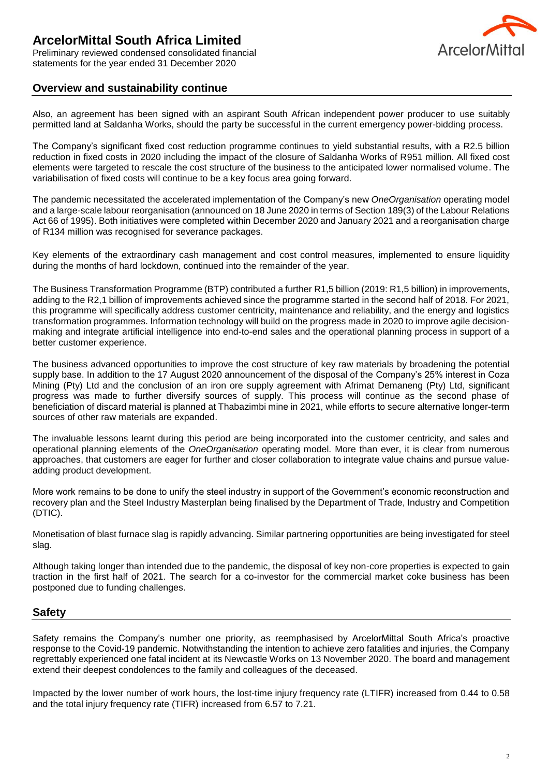Preliminary reviewed condensed consolidated financial statements for the year ended 31 December 2020



# **Overview and sustainability continue**

Also, an agreement has been signed with an aspirant South African independent power producer to use suitably permitted land at Saldanha Works, should the party be successful in the current emergency power-bidding process.

The Company's significant fixed cost reduction programme continues to yield substantial results, with a R2.5 billion reduction in fixed costs in 2020 including the impact of the closure of Saldanha Works of R951 million. All fixed cost elements were targeted to rescale the cost structure of the business to the anticipated lower normalised volume. The variabilisation of fixed costs will continue to be a key focus area going forward.

The pandemic necessitated the accelerated implementation of the Company's new *OneOrganisation* operating model and a large-scale labour reorganisation (announced on 18 June 2020 in terms of Section 189(3) of the Labour Relations Act 66 of 1995). Both initiatives were completed within December 2020 and January 2021 and a reorganisation charge of R134 million was recognised for severance packages.

Key elements of the extraordinary cash management and cost control measures, implemented to ensure liquidity during the months of hard lockdown, continued into the remainder of the year.

The Business Transformation Programme (BTP) contributed a further R1,5 billion (2019: R1,5 billion) in improvements, adding to the R2,1 billion of improvements achieved since the programme started in the second half of 2018. For 2021, this programme will specifically address customer centricity, maintenance and reliability, and the energy and logistics transformation programmes. Information technology will build on the progress made in 2020 to improve agile decisionmaking and integrate artificial intelligence into end-to-end sales and the operational planning process in support of a better customer experience.

The business advanced opportunities to improve the cost structure of key raw materials by broadening the potential supply base. In addition to the 17 August 2020 announcement of the disposal of the Company's 25% interest in Coza Mining (Pty) Ltd and the conclusion of an iron ore supply agreement with Afrimat Demaneng (Pty) Ltd, significant progress was made to further diversify sources of supply. This process will continue as the second phase of beneficiation of discard material is planned at Thabazimbi mine in 2021, while efforts to secure alternative longer-term sources of other raw materials are expanded.

The invaluable lessons learnt during this period are being incorporated into the customer centricity, and sales and operational planning elements of the *OneOrganisation* operating model. More than ever, it is clear from numerous approaches, that customers are eager for further and closer collaboration to integrate value chains and pursue valueadding product development.

More work remains to be done to unify the steel industry in support of the Government's economic reconstruction and recovery plan and the Steel Industry Masterplan being finalised by the Department of Trade, Industry and Competition (DTIC).

Monetisation of blast furnace slag is rapidly advancing. Similar partnering opportunities are being investigated for steel slag.

Although taking longer than intended due to the pandemic, the disposal of key non-core properties is expected to gain traction in the first half of 2021. The search for a co-investor for the commercial market coke business has been postponed due to funding challenges.

# **Safety**

Safety remains the Company's number one priority, as reemphasised by ArcelorMittal South Africa's proactive response to the Covid-19 pandemic. Notwithstanding the intention to achieve zero fatalities and injuries, the Company regrettably experienced one fatal incident at its Newcastle Works on 13 November 2020. The board and management extend their deepest condolences to the family and colleagues of the deceased.

Impacted by the lower number of work hours, the lost-time injury frequency rate (LTIFR) increased from 0.44 to 0.58 and the total injury frequency rate (TIFR) increased from 6.57 to 7.21.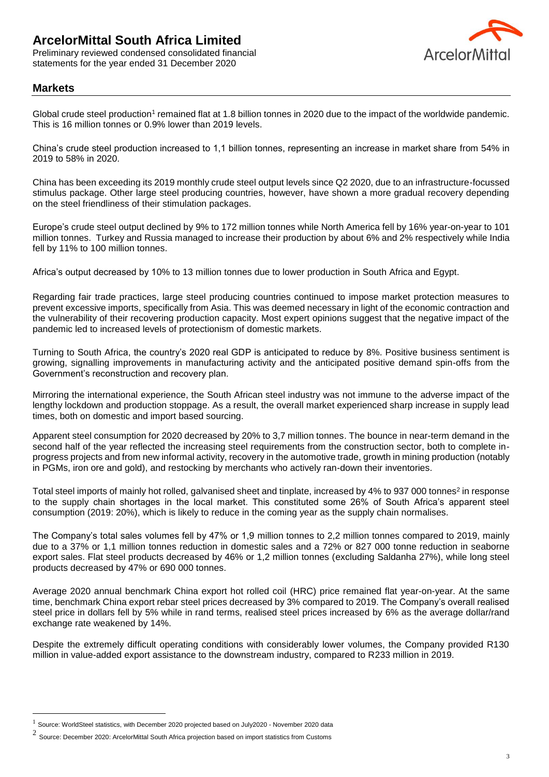Preliminary reviewed condensed consolidated financial statements for the year ended 31 December 2020



# **Markets**

 $\overline{a}$ 

Global crude steel production<sup>1</sup> remained flat at 1.8 billion tonnes in 2020 due to the impact of the worldwide pandemic. This is 16 million tonnes or 0.9% lower than 2019 levels.

China's crude steel production increased to 1,1 billion tonnes, representing an increase in market share from 54% in 2019 to 58% in 2020.

China has been exceeding its 2019 monthly crude steel output levels since Q2 2020, due to an infrastructure-focussed stimulus package. Other large steel producing countries, however, have shown a more gradual recovery depending on the steel friendliness of their stimulation packages.

Europe's crude steel output declined by 9% to 172 million tonnes while North America fell by 16% year-on-year to 101 million tonnes. Turkey and Russia managed to increase their production by about 6% and 2% respectively while India fell by 11% to 100 million tonnes.

Africa's output decreased by 10% to 13 million tonnes due to lower production in South Africa and Egypt.

Regarding fair trade practices, large steel producing countries continued to impose market protection measures to prevent excessive imports, specifically from Asia. This was deemed necessary in light of the economic contraction and the vulnerability of their recovering production capacity. Most expert opinions suggest that the negative impact of the pandemic led to increased levels of protectionism of domestic markets.

Turning to South Africa, the country's 2020 real GDP is anticipated to reduce by 8%. Positive business sentiment is growing, signalling improvements in manufacturing activity and the anticipated positive demand spin-offs from the Government's reconstruction and recovery plan.

Mirroring the international experience, the South African steel industry was not immune to the adverse impact of the lengthy lockdown and production stoppage. As a result, the overall market experienced sharp increase in supply lead times, both on domestic and import based sourcing.

Apparent steel consumption for 2020 decreased by 20% to 3,7 million tonnes. The bounce in near-term demand in the second half of the year reflected the increasing steel requirements from the construction sector, both to complete inprogress projects and from new informal activity, recovery in the automotive trade, growth in mining production (notably in PGMs, iron ore and gold), and restocking by merchants who actively ran-down their inventories.

Total steel imports of mainly hot rolled, galvanised sheet and tinplate, increased by 4% to 937 000 tonnes<sup>2</sup> in response to the supply chain shortages in the local market. This constituted some 26% of South Africa's apparent steel consumption (2019: 20%), which is likely to reduce in the coming year as the supply chain normalises.

The Company's total sales volumes fell by 47% or 1,9 million tonnes to 2,2 million tonnes compared to 2019, mainly due to a 37% or 1,1 million tonnes reduction in domestic sales and a 72% or 827 000 tonne reduction in seaborne export sales. Flat steel products decreased by 46% or 1,2 million tonnes (excluding Saldanha 27%), while long steel products decreased by 47% or 690 000 tonnes.

Average 2020 annual benchmark China export hot rolled coil (HRC) price remained flat year-on-year. At the same time, benchmark China export rebar steel prices decreased by 3% compared to 2019. The Company's overall realised steel price in dollars fell by 5% while in rand terms, realised steel prices increased by 6% as the average dollar/rand exchange rate weakened by 14%.

Despite the extremely difficult operating conditions with considerably lower volumes, the Company provided R130 million in value-added export assistance to the downstream industry, compared to R233 million in 2019.

<sup>1</sup> Source: WorldSteel statistics, with December 2020 projected based on July2020 - November 2020 data

<sup>2</sup> Source: December 2020: ArcelorMittal South Africa projection based on import statistics from Customs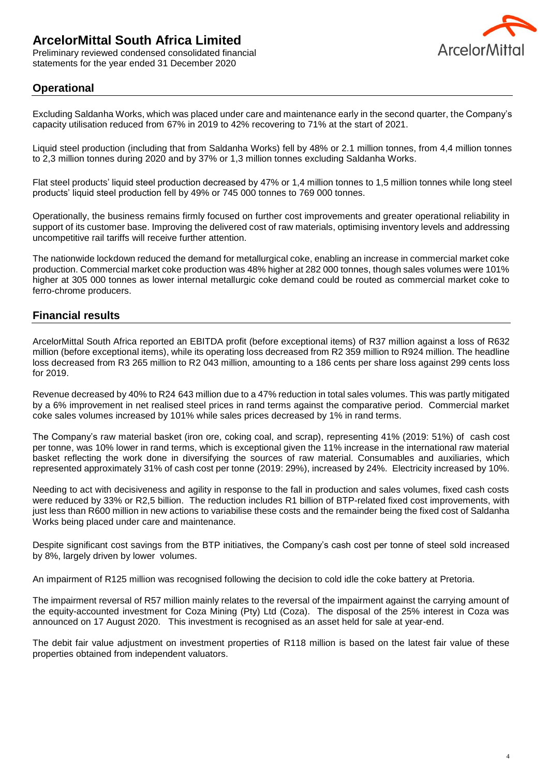Preliminary reviewed condensed consolidated financial statements for the year ended 31 December 2020



# **Operational**

Excluding Saldanha Works, which was placed under care and maintenance early in the second quarter, the Company's capacity utilisation reduced from 67% in 2019 to 42% recovering to 71% at the start of 2021.

Liquid steel production (including that from Saldanha Works) fell by 48% or 2.1 million tonnes, from 4,4 million tonnes to 2,3 million tonnes during 2020 and by 37% or 1,3 million tonnes excluding Saldanha Works.

Flat steel products' liquid steel production decreased by 47% or 1,4 million tonnes to 1,5 million tonnes while long steel products' liquid steel production fell by 49% or 745 000 tonnes to 769 000 tonnes.

Operationally, the business remains firmly focused on further cost improvements and greater operational reliability in support of its customer base. Improving the delivered cost of raw materials, optimising inventory levels and addressing uncompetitive rail tariffs will receive further attention.

The nationwide lockdown reduced the demand for metallurgical coke, enabling an increase in commercial market coke production. Commercial market coke production was 48% higher at 282 000 tonnes, though sales volumes were 101% higher at 305 000 tonnes as lower internal metallurgic coke demand could be routed as commercial market coke to ferro-chrome producers.

# **Financial results**

ArcelorMittal South Africa reported an EBITDA profit (before exceptional items) of R37 million against a loss of R632 million (before exceptional items), while its operating loss decreased from R2 359 million to R924 million. The headline loss decreased from R3 265 million to R2 043 million, amounting to a 186 cents per share loss against 299 cents loss for 2019.

Revenue decreased by 40% to R24 643 million due to a 47% reduction in total sales volumes. This was partly mitigated by a 6% improvement in net realised steel prices in rand terms against the comparative period. Commercial market coke sales volumes increased by 101% while sales prices decreased by 1% in rand terms.

The Company's raw material basket (iron ore, coking coal, and scrap), representing 41% (2019: 51%) of cash cost per tonne, was 10% lower in rand terms, which is exceptional given the 11% increase in the international raw material basket reflecting the work done in diversifying the sources of raw material. Consumables and auxiliaries, which represented approximately 31% of cash cost per tonne (2019: 29%), increased by 24%. Electricity increased by 10%.

Needing to act with decisiveness and agility in response to the fall in production and sales volumes, fixed cash costs were reduced by 33% or R2,5 billion. The reduction includes R1 billion of BTP-related fixed cost improvements, with just less than R600 million in new actions to variabilise these costs and the remainder being the fixed cost of Saldanha Works being placed under care and maintenance.

Despite significant cost savings from the BTP initiatives, the Company's cash cost per tonne of steel sold increased by 8%, largely driven by lower volumes.

An impairment of R125 million was recognised following the decision to cold idle the coke battery at Pretoria.

The impairment reversal of R57 million mainly relates to the reversal of the impairment against the carrying amount of the equity-accounted investment for Coza Mining (Pty) Ltd (Coza). The disposal of the 25% interest in Coza was announced on 17 August 2020. This investment is recognised as an asset held for sale at year-end.

The debit fair value adjustment on investment properties of R118 million is based on the latest fair value of these properties obtained from independent valuators.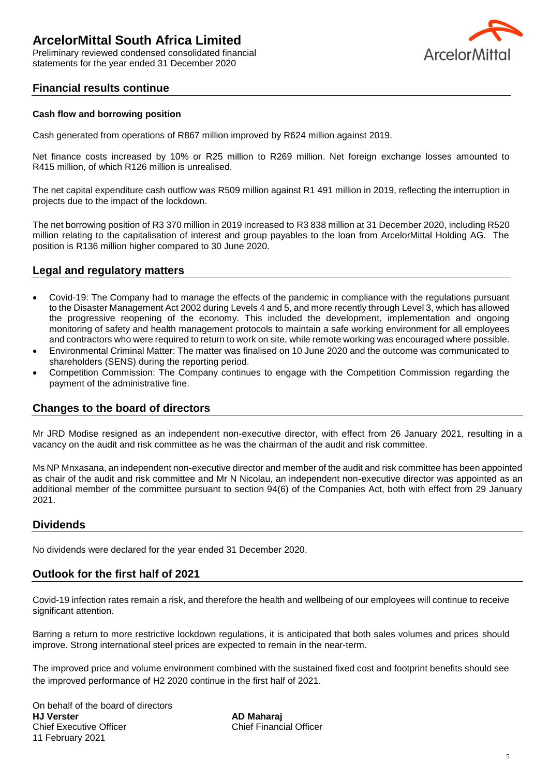Preliminary reviewed condensed consolidated financial statements for the year ended 31 December 2020



# **Financial results continue**

#### **Cash flow and borrowing position**

Cash generated from operations of R867 million improved by R624 million against 2019.

Net finance costs increased by 10% or R25 million to R269 million. Net foreign exchange losses amounted to R415 million, of which R126 million is unrealised.

The net capital expenditure cash outflow was R509 million against R1 491 million in 2019, reflecting the interruption in projects due to the impact of the lockdown.

The net borrowing position of R3 370 million in 2019 increased to R3 838 million at 31 December 2020, including R520 million relating to the capitalisation of interest and group payables to the loan from ArcelorMittal Holding AG. The position is R136 million higher compared to 30 June 2020.

# **Legal and regulatory matters**

- Covid-19: The Company had to manage the effects of the pandemic in compliance with the regulations pursuant to the Disaster Management Act 2002 during Levels 4 and 5, and more recently through Level 3, which has allowed the progressive reopening of the economy. This included the development, implementation and ongoing monitoring of safety and health management protocols to maintain a safe working environment for all employees and contractors who were required to return to work on site, while remote working was encouraged where possible.
- Environmental Criminal Matter: The matter was finalised on 10 June 2020 and the outcome was communicated to shareholders (SENS) during the reporting period.
- Competition Commission: The Company continues to engage with the Competition Commission regarding the payment of the administrative fine.

# **Changes to the board of directors**

Mr JRD Modise resigned as an independent non-executive director, with effect from 26 January 2021, resulting in a vacancy on the audit and risk committee as he was the chairman of the audit and risk committee.

Ms NP Mnxasana, an independent non-executive director and member of the audit and risk committee has been appointed as chair of the audit and risk committee and Mr N Nicolau, an independent non-executive director was appointed as an additional member of the committee pursuant to section 94(6) of the Companies Act, both with effect from 29 January 2021.

# **Dividends**

No dividends were declared for the year ended 31 December 2020.

# **Outlook for the first half of 2021**

Covid-19 infection rates remain a risk, and therefore the health and wellbeing of our employees will continue to receive significant attention.

Barring a return to more restrictive lockdown regulations, it is anticipated that both sales volumes and prices should improve. Strong international steel prices are expected to remain in the near-term.

The improved price and volume environment combined with the sustained fixed cost and footprint benefits should see the improved performance of H2 2020 continue in the first half of 2021.

On behalf of the board of directors **HJ Verster AD Maharaj** Chief Executive Officer Chief Financial Officer 11 February 2021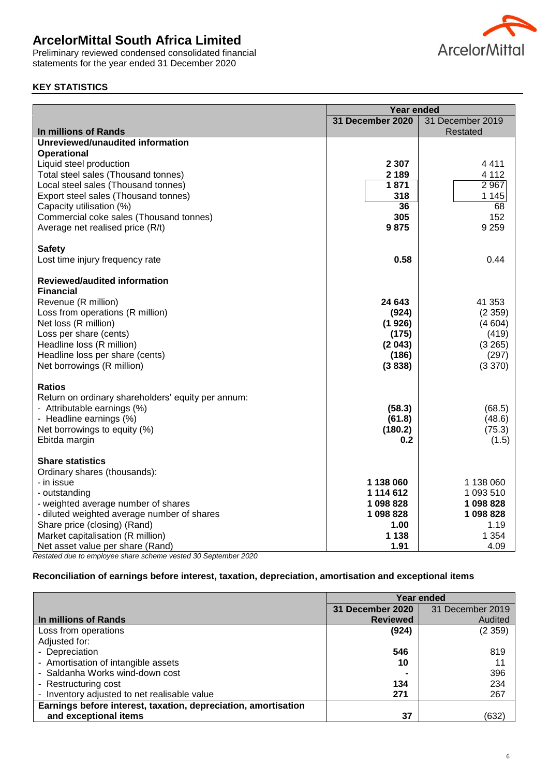Preliminary reviewed condensed consolidated financial statements for the year ended 31 December 2020



# **KEY STATISTICS**

|                                                    | <b>Year ended</b> |                  |  |
|----------------------------------------------------|-------------------|------------------|--|
|                                                    | 31 December 2020  | 31 December 2019 |  |
| In millions of Rands                               |                   | Restated         |  |
| Unreviewed/unaudited information                   |                   |                  |  |
| <b>Operational</b>                                 |                   |                  |  |
| Liquid steel production                            | 2 3 0 7           | 4411             |  |
| Total steel sales (Thousand tonnes)                | 2 1 8 9           | 4 1 1 2          |  |
| Local steel sales (Thousand tonnes)                | 1871              | 2 9 67           |  |
| Export steel sales (Thousand tonnes)               | 318               | 1145             |  |
| Capacity utilisation (%)                           | 36                | 68               |  |
| Commercial coke sales (Thousand tonnes)            | 305               | 152              |  |
| Average net realised price (R/t)                   | 9875              | 9 2 5 9          |  |
| <b>Safety</b>                                      |                   |                  |  |
| Lost time injury frequency rate                    | 0.58              | 0.44             |  |
| Reviewed/audited information                       |                   |                  |  |
| <b>Financial</b>                                   |                   |                  |  |
| Revenue (R million)                                | 24 643            | 41 353           |  |
| Loss from operations (R million)                   | (924)             | (2359)           |  |
| Net loss (R million)                               | (1926)            | (4604)           |  |
| Loss per share (cents)                             | (175)             | (419)            |  |
| Headline loss (R million)                          | (2043)            | (3 265)          |  |
| Headline loss per share (cents)                    | (186)             | (297)            |  |
| Net borrowings (R million)                         | (3838)            | (3 370)          |  |
| <b>Ratios</b>                                      |                   |                  |  |
| Return on ordinary shareholders' equity per annum: |                   |                  |  |
| - Attributable earnings (%)                        | (58.3)            | (68.5)           |  |
| - Headline earnings (%)                            | (61.8)            | (48.6)           |  |
| Net borrowings to equity (%)                       | (180.2)           | (75.3)           |  |
| Ebitda margin                                      | 0.2               | (1.5)            |  |
| <b>Share statistics</b>                            |                   |                  |  |
| Ordinary shares (thousands):                       |                   |                  |  |
| - in issue                                         | 1 138 060         | 1 138 060        |  |
| - outstanding                                      | 1 114 612         | 1 093 510        |  |
| - weighted average number of shares                | 1098828           | 1 098 828        |  |
| - diluted weighted average number of shares        | 1 098 828         | 1 098 828        |  |
| Share price (closing) (Rand)                       | 1.00              | 1.19             |  |
| Market capitalisation (R million)                  | 1 1 3 8           | 1 3 5 4          |  |
| Net asset value per share (Rand)                   | 1.91              | 4.09             |  |

*Restated due to employee share scheme vested 30 September 2020*

### **Reconciliation of earnings before interest, taxation, depreciation, amortisation and exceptional items**

|                                                                | Year ended       |                  |  |
|----------------------------------------------------------------|------------------|------------------|--|
|                                                                | 31 December 2020 | 31 December 2019 |  |
| In millions of Rands                                           | <b>Reviewed</b>  | Audited          |  |
| Loss from operations                                           | (924)            | (2359)           |  |
| Adjusted for:                                                  |                  |                  |  |
| - Depreciation                                                 | 546              | 819              |  |
| - Amortisation of intangible assets                            | 10               | 11               |  |
| - Saldanha Works wind-down cost                                |                  | 396              |  |
| - Restructuring cost                                           | 134              | 234              |  |
| - Inventory adjusted to net realisable value                   | 271              | 267              |  |
| Earnings before interest, taxation, depreciation, amortisation |                  |                  |  |
| and exceptional items                                          | 37               | (632)            |  |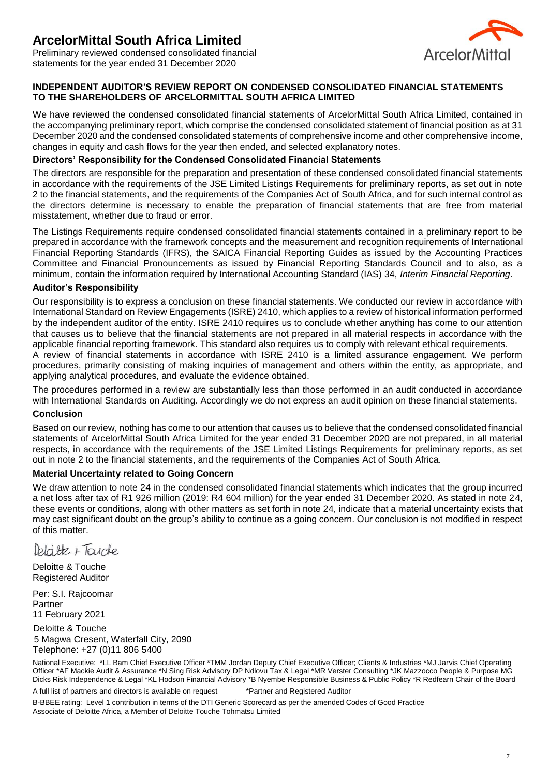

Preliminary reviewed condensed consolidated financial statements for the year ended 31 December 2020

## **INDEPENDENT AUDITOR'S REVIEW REPORT ON CONDENSED CONSOLIDATED FINANCIAL STATEMENTS TO THE SHAREHOLDERS OF ARCELORMITTAL SOUTH AFRICA LIMITED**

We have reviewed the condensed consolidated financial statements of ArcelorMittal South Africa Limited, contained in the accompanying preliminary report, which comprise the condensed consolidated statement of financial position as at 31 December 2020 and the condensed consolidated statements of comprehensive income and other comprehensive income, changes in equity and cash flows for the year then ended, and selected explanatory notes.

#### **Directors' Responsibility for the Condensed Consolidated Financial Statements**

The directors are responsible for the preparation and presentation of these condensed consolidated financial statements in accordance with the requirements of the JSE Limited Listings Requirements for preliminary reports, as set out in note 2 to the financial statements, and the requirements of the Companies Act of South Africa, and for such internal control as the directors determine is necessary to enable the preparation of financial statements that are free from material misstatement, whether due to fraud or error.

The Listings Requirements require condensed consolidated financial statements contained in a preliminary report to be prepared in accordance with the framework concepts and the measurement and recognition requirements of International Financial Reporting Standards (IFRS), the SAICA Financial Reporting Guides as issued by the Accounting Practices Committee and Financial Pronouncements as issued by Financial Reporting Standards Council and to also, as a minimum, contain the information required by International Accounting Standard (IAS) 34, *Interim Financial Reporting*.

#### **Auditor's Responsibility**

Our responsibility is to express a conclusion on these financial statements. We conducted our review in accordance with International Standard on Review Engagements (ISRE) 2410, which applies to a review of historical information performed by the independent auditor of the entity. ISRE 2410 requires us to conclude whether anything has come to our attention that causes us to believe that the financial statements are not prepared in all material respects in accordance with the applicable financial reporting framework. This standard also requires us to comply with relevant ethical requirements. A review of financial statements in accordance with ISRE 2410 is a limited assurance engagement. We perform procedures, primarily consisting of making inquiries of management and others within the entity, as appropriate, and applying analytical procedures, and evaluate the evidence obtained.

The procedures performed in a review are substantially less than those performed in an audit conducted in accordance with International Standards on Auditing. Accordingly we do not express an audit opinion on these financial statements.

#### **Conclusion**

Based on our review, nothing has come to our attention that causes us to believe that the condensed consolidated financial statements of ArcelorMittal South Africa Limited for the year ended 31 December 2020 are not prepared, in all material respects, in accordance with the requirements of the JSE Limited Listings Requirements for preliminary reports, as set out in note 2 to the financial statements, and the requirements of the Companies Act of South Africa.

#### **Material Uncertainty related to Going Concern**

We draw attention to note 24 in the condensed consolidated financial statements which indicates that the group incurred a net loss after tax of R1 926 million (2019: R4 604 million) for the year ended 31 December 2020. As stated in note 24, these events or conditions, along with other matters as set forth in note 24, indicate that a material uncertainty exists that may cast significant doubt on the group's ability to continue as a going concern. Our conclusion is not modified in respect of this matter.

Delaite + Tarche

Deloitte & Touche Registered Auditor

Per: S.I. Rajcoomar Partner 11 February 2021

Deloitte & Touche 5 Magwa Cresent, Waterfall City, 2090 Telephone: +27 (0)11 806 5400

National Executive: \*LL Bam Chief Executive Officer \*TMM Jordan Deputy Chief Executive Officer; Clients & Industries \*MJ Jarvis Chief Operating Officer \*AF Mackie Audit & Assurance \*N Sing Risk Advisory DP Ndlovu Tax & Legal \*MR Verster Consulting \*JK Mazzocco People & Purpose MG Dicks Risk Independence & Legal \*KL Hodson Financial Advisory \*B Nyembe Responsible Business & Public Policy \*R Redfearn Chair of the Board

A full list of partners and directors is available on request \*Partner and Registered Auditor

B-BBEE rating: Level 1 contribution in terms of the DTI Generic Scorecard as per the amended Codes of Good Practice Associate of Deloitte Africa, a Member of Deloitte Touche Tohmatsu Limited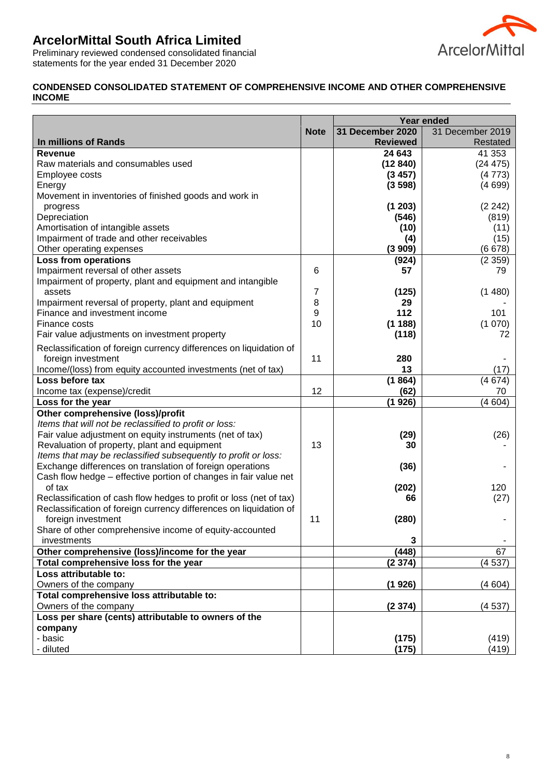

Preliminary reviewed condensed consolidated financial statements for the year ended 31 December 2020

# **CONDENSED CONSOLIDATED STATEMENT OF COMPREHENSIVE INCOME AND OTHER COMPREHENSIVE INCOME**

|                                                                     |             | Year ended       |                  |  |
|---------------------------------------------------------------------|-------------|------------------|------------------|--|
|                                                                     | <b>Note</b> | 31 December 2020 | 31 December 2019 |  |
| In millions of Rands                                                |             | <b>Reviewed</b>  | Restated         |  |
| <b>Revenue</b>                                                      |             | 24 643           | 41 353           |  |
| Raw materials and consumables used                                  |             | (12840)          | (24 475)         |  |
| Employee costs                                                      |             | (3457)           | (4773)           |  |
| Energy                                                              |             | (3598)           | (4699)           |  |
| Movement in inventories of finished goods and work in               |             |                  |                  |  |
| progress                                                            |             | (1203)           | (2 242)          |  |
| Depreciation                                                        |             | (546)            | (819)            |  |
| Amortisation of intangible assets                                   |             | (10)             | (11)             |  |
| Impairment of trade and other receivables                           |             | (4)              | (15)             |  |
| Other operating expenses                                            |             | (3909)           | (6678)           |  |
| <b>Loss from operations</b>                                         |             | (924)            | (2359)           |  |
| Impairment reversal of other assets                                 | 6           | 57               | 79               |  |
| Impairment of property, plant and equipment and intangible          |             |                  |                  |  |
| assets                                                              | 7           | (125)            | (1480)           |  |
| Impairment reversal of property, plant and equipment                | 8           | 29               |                  |  |
| Finance and investment income                                       | 9           | 112              | 101              |  |
| Finance costs                                                       | 10          | (1188)           | (1070)           |  |
| Fair value adjustments on investment property                       |             | (118)            | 72               |  |
| Reclassification of foreign currency differences on liquidation of  |             |                  |                  |  |
| foreign investment                                                  | 11          | 280              |                  |  |
| Income/(loss) from equity accounted investments (net of tax)        |             | 13               | (17)             |  |
| Loss before tax                                                     |             | (1864)           | (4674)           |  |
| Income tax (expense)/credit                                         | 12          | (62)             | 70               |  |
| Loss for the year                                                   |             | (1926)           | (4604)           |  |
| Other comprehensive (loss)/profit                                   |             |                  |                  |  |
| Items that will not be reclassified to profit or loss:              |             |                  |                  |  |
| Fair value adjustment on equity instruments (net of tax)            |             | (29)             | (26)             |  |
| Revaluation of property, plant and equipment                        | 13          | 30               |                  |  |
| Items that may be reclassified subsequently to profit or loss:      |             |                  |                  |  |
| Exchange differences on translation of foreign operations           |             | (36)             |                  |  |
| Cash flow hedge – effective portion of changes in fair value net    |             |                  |                  |  |
| of tax                                                              |             | (202)            | 120              |  |
| Reclassification of cash flow hedges to profit or loss (net of tax) |             | 66               | (27)             |  |
| Reclassification of foreign currency differences on liquidation of  |             |                  |                  |  |
| foreign investment                                                  | 11          | (280)            |                  |  |
| Share of other comprehensive income of equity-accounted             |             |                  |                  |  |
| investments                                                         |             | 3                |                  |  |
| Other comprehensive (loss)/income for the year                      |             | (448)            | 67               |  |
| Total comprehensive loss for the year                               |             | (2374)           | (4537)           |  |
| Loss attributable to:                                               |             |                  |                  |  |
| Owners of the company                                               |             | (1926)           | (4604)           |  |
| Total comprehensive loss attributable to:                           |             |                  |                  |  |
| Owners of the company                                               |             | (2374)           | (4537)           |  |
| Loss per share (cents) attributable to owners of the                |             |                  |                  |  |
| company                                                             |             |                  |                  |  |
| - basic                                                             |             | (175)            | (419)            |  |
| - diluted                                                           |             | (175)            | (419)            |  |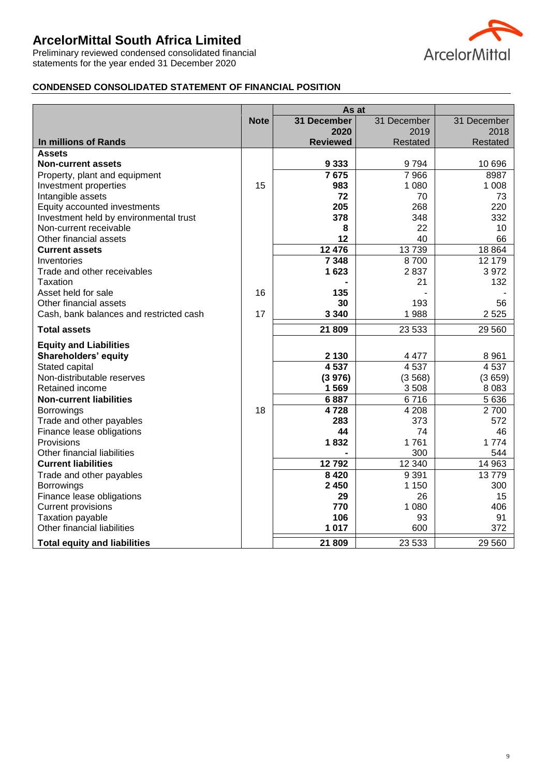Preliminary reviewed condensed consolidated financial statements for the year ended 31 December 2020



# **CONDENSED CONSOLIDATED STATEMENT OF FINANCIAL POSITION**

|                                              | As at       |                 |                 |                 |
|----------------------------------------------|-------------|-----------------|-----------------|-----------------|
|                                              | <b>Note</b> | 31 December     | 31 December     | 31 December     |
|                                              |             | 2020            | 2019            | 2018            |
| <b>In millions of Rands</b>                  |             | <b>Reviewed</b> | Restated        | Restated        |
| <b>Assets</b>                                |             |                 |                 |                 |
| <b>Non-current assets</b>                    |             | 9 3 3 3         | 9794            | 10 696          |
| Property, plant and equipment                |             | 7675            | 7 9 6 6         | 8987            |
| Investment properties                        | 15          | 983             | 1 0 8 0         | 1 0 0 8         |
| Intangible assets                            |             | 72              | 70              | 73              |
| Equity accounted investments                 |             | 205             | 268             | 220             |
| Investment held by environmental trust       |             | 378             | 348             | 332             |
| Non-current receivable                       |             | 8               | 22              | 10              |
| Other financial assets                       |             | 12              | 40              | 66              |
| <b>Current assets</b>                        |             | 12 476          | 13739           | 18 8 64         |
| Inventories                                  |             | 7 3 4 8         | 8700            | 12 179          |
| Trade and other receivables                  |             | 1623            | 2837            | 3972            |
| Taxation                                     |             |                 | 21              | 132             |
| Asset held for sale                          | 16          | 135             |                 |                 |
| Other financial assets                       |             | 30              | 193             | 56              |
| Cash, bank balances and restricted cash      | 17          | 3 3 4 0         | 1988            | 2525            |
| <b>Total assets</b>                          |             | 21 809          | 23 533          | 29 560          |
|                                              |             |                 |                 |                 |
| <b>Equity and Liabilities</b>                |             | 2 1 3 0         |                 |                 |
| Shareholders' equity                         |             | 4 5 3 7         | 4 4 7 7<br>4537 | 8 9 6 1<br>4537 |
| Stated capital<br>Non-distributable reserves |             |                 |                 | (3659)          |
| Retained income                              |             | (3976)<br>1569  | (3568)          | 8 0 8 3         |
|                                              |             | 6887            | 3508<br>6716    | 5 6 3 6         |
| <b>Non-current liabilities</b>               | 18          | 4728            | 4 2 0 8         | 2700            |
| Borrowings<br>Trade and other payables       |             | 283             | 373             | 572             |
| Finance lease obligations                    |             | 44              | 74              | 46              |
| Provisions                                   |             | 1832            | 1761            | 1774            |
| Other financial liabilities                  |             |                 | 300             | 544             |
| <b>Current liabilities</b>                   |             | 12792           | 12 340          | 14 963          |
| Trade and other payables                     |             | 8 4 2 0         | 9 3 9 1         | 13779           |
| Borrowings                                   |             | 2 4 5 0         | 1 1 5 0         | 300             |
| Finance lease obligations                    |             | 29              | 26              | 15              |
| <b>Current provisions</b>                    |             | 770             | 1 0 8 0         | 406             |
| <b>Taxation payable</b>                      |             | 106             | 93              | 91              |
| Other financial liabilities                  |             | 1 0 1 7         | 600             | 372             |
|                                              |             |                 |                 |                 |
| <b>Total equity and liabilities</b>          |             | 21 809          | 23 5 33         | 29 560          |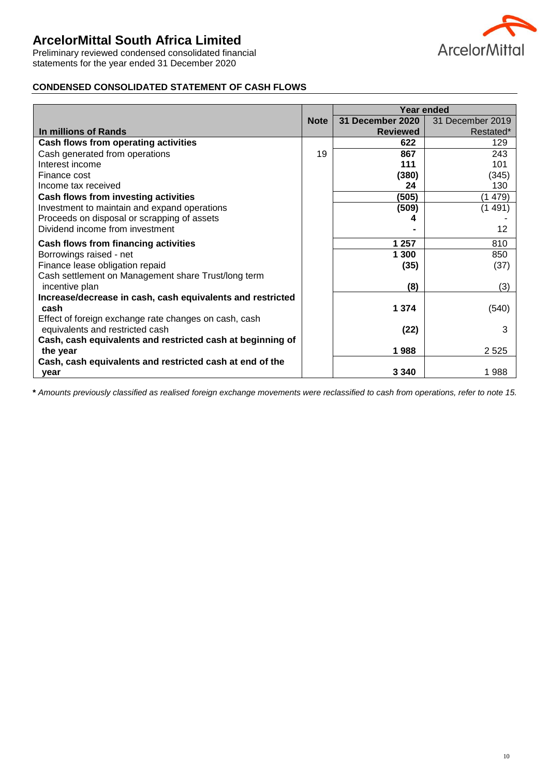Preliminary reviewed condensed consolidated financial statements for the year ended 31 December 2020



## **CONDENSED CONSOLIDATED STATEMENT OF CASH FLOWS**

|                                                            |             | Year ended       |                  |  |
|------------------------------------------------------------|-------------|------------------|------------------|--|
|                                                            | <b>Note</b> | 31 December 2020 | 31 December 2019 |  |
| In millions of Rands                                       |             | <b>Reviewed</b>  | Restated*        |  |
| Cash flows from operating activities                       |             | 622              | 129              |  |
| Cash generated from operations                             | 19          | 867              | 243              |  |
| Interest income                                            |             | 111              | 101              |  |
| Finance cost                                               |             | (380)            | (345)            |  |
| Income tax received                                        |             | 24               | 130              |  |
| Cash flows from investing activities                       |             | (505)            | (1479)           |  |
| Investment to maintain and expand operations               |             | (509)            | (1 491)          |  |
| Proceeds on disposal or scrapping of assets                |             |                  |                  |  |
| Dividend income from investment                            |             |                  | 12               |  |
| Cash flows from financing activities                       |             | 1 257            | 810              |  |
| Borrowings raised - net                                    |             | 1 300            | 850              |  |
| Finance lease obligation repaid                            |             | (35)             | (37)             |  |
| Cash settlement on Management share Trust/long term        |             |                  |                  |  |
| incentive plan                                             |             | (8)              | (3)              |  |
| Increase/decrease in cash, cash equivalents and restricted |             |                  |                  |  |
| cash                                                       |             | 1 3 7 4          | (540)            |  |
| Effect of foreign exchange rate changes on cash, cash      |             |                  |                  |  |
| equivalents and restricted cash                            |             | (22)             | 3                |  |
| Cash, cash equivalents and restricted cash at beginning of |             |                  |                  |  |
| the year                                                   |             | 1988             | 2 5 2 5          |  |
| Cash, cash equivalents and restricted cash at end of the   |             |                  |                  |  |
| vear                                                       |             | 3 3 4 0          | 1988             |  |

**\*** *Amounts previously classified as realised foreign exchange movements were reclassified to cash from operations, refer to note 15.*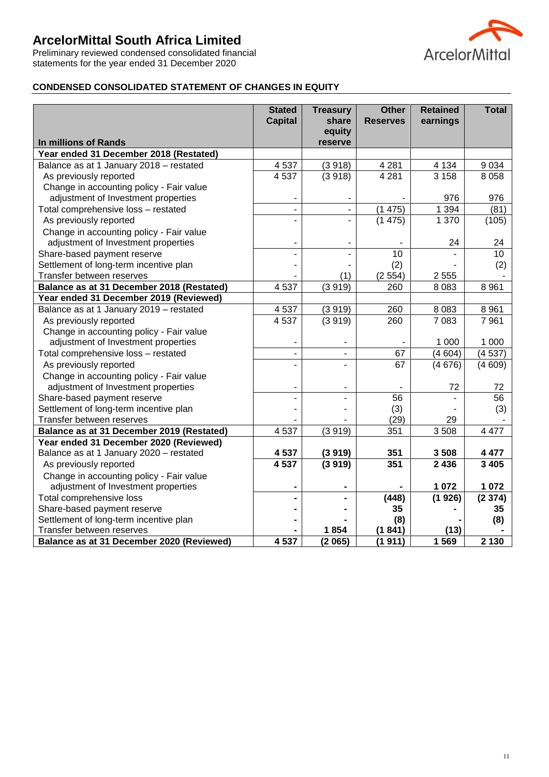Preliminary reviewed condensed consolidated financial statements for the year ended 31 December 2020



# **CONDENSED CONSOLIDATED STATEMENT OF CHANGES IN EQUITY**

|                                           | <b>Stated</b><br><b>Capital</b> | <b>Treasury</b><br>share | <b>Other</b><br><b>Reserves</b> | <b>Retained</b><br>earnings | <b>Total</b> |
|-------------------------------------------|---------------------------------|--------------------------|---------------------------------|-----------------------------|--------------|
|                                           |                                 | equity                   |                                 |                             |              |
| In millions of Rands                      |                                 | reserve                  |                                 |                             |              |
| Year ended 31 December 2018 (Restated)    |                                 |                          |                                 |                             |              |
| Balance as at 1 January 2018 - restated   | 4537                            | (3918)                   | 4 2 8 1                         | 4 1 3 4                     | 9 0 3 4      |
| As previously reported                    | 4537                            | (3918)                   | 4 2 8 1                         | 3 1 5 8                     | 8 0 5 8      |
| Change in accounting policy - Fair value  |                                 |                          |                                 |                             |              |
| adjustment of Investment properties       |                                 |                          |                                 | 976                         | 976          |
| Total comprehensive loss - restated       | $\blacksquare$                  | ä,                       | (1475)                          | 1 3 9 4                     | (81)         |
| As previously reported                    |                                 |                          | (1475)                          | 1 370                       | (105)        |
| Change in accounting policy - Fair value  |                                 |                          |                                 |                             |              |
| adjustment of Investment properties       |                                 |                          |                                 | 24                          | 24           |
| Share-based payment reserve               |                                 |                          | 10                              |                             | 10           |
| Settlement of long-term incentive plan    |                                 |                          | (2)                             |                             | (2)          |
| Transfer between reserves                 |                                 | (1)                      | (2554)                          | 2 5 5 5                     |              |
| Balance as at 31 December 2018 (Restated) | 4537                            | (3919)                   | 260                             | 8 0 8 3                     | 8 9 6 1      |
| Year ended 31 December 2019 (Reviewed)    |                                 |                          |                                 |                             |              |
| Balance as at 1 January 2019 - restated   | 4 5 3 7                         | (3919)                   | 260                             | 8 0 8 3                     | 8 9 6 1      |
| As previously reported                    | 4537                            | (3919)                   | 260                             | 7 0 8 3                     | 7961         |
| Change in accounting policy - Fair value  |                                 |                          |                                 |                             |              |
| adjustment of Investment properties       |                                 |                          |                                 | 1 0 0 0                     | 1 0 0 0      |
| Total comprehensive loss - restated       |                                 | ۰                        | 67                              | (4604)                      | (4537)       |
| As previously reported                    |                                 |                          | 67                              | (4676)                      | (4609)       |
| Change in accounting policy - Fair value  |                                 |                          |                                 |                             |              |
| adjustment of Investment properties       |                                 |                          |                                 | 72                          | 72           |
| Share-based payment reserve               |                                 |                          | 56                              |                             | 56           |
| Settlement of long-term incentive plan    |                                 |                          | (3)                             |                             | (3)          |
| Transfer between reserves                 |                                 |                          | (29)                            | 29                          |              |
| Balance as at 31 December 2019 (Restated) | 4537                            | (3919)                   | 351                             | 3508                        | 4 4 7 7      |
| Year ended 31 December 2020 (Reviewed)    |                                 |                          |                                 |                             |              |
| Balance as at 1 January 2020 - restated   | 4 5 3 7                         | (3919)                   | 351                             | 3508                        | 4 4 7 7      |
| As previously reported                    | 4537                            | (3919)                   | 351                             | 2 4 3 6                     | 3 4 0 5      |
| Change in accounting policy - Fair value  |                                 |                          |                                 |                             |              |
| adjustment of Investment properties       |                                 |                          |                                 | 1 0 7 2                     | 1 0 7 2      |
| Total comprehensive loss                  |                                 |                          | (448)                           | (1926)                      | (2374)       |
| Share-based payment reserve               |                                 |                          | 35                              |                             | 35           |
| Settlement of long-term incentive plan    |                                 |                          | (8)                             |                             | (8)          |
| Transfer between reserves                 |                                 | 1854                     | (1841)                          | (13)                        |              |
| Balance as at 31 December 2020 (Reviewed) | 4 5 3 7                         | (2065)                   | (1911)                          | 1 5 6 9                     | 2 1 3 0      |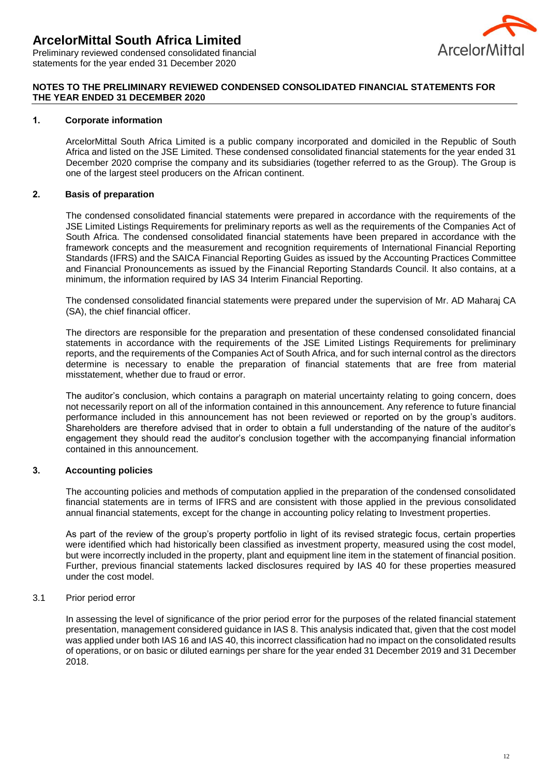

Preliminary reviewed condensed consolidated financial statements for the year ended 31 December 2020

### **NOTES TO THE PRELIMINARY REVIEWED CONDENSED CONSOLIDATED FINANCIAL STATEMENTS FOR THE YEAR ENDED 31 DECEMBER 2020**

#### **1. Corporate information**

ArcelorMittal South Africa Limited is a public company incorporated and domiciled in the Republic of South Africa and listed on the JSE Limited. These condensed consolidated financial statements for the year ended 31 December 2020 comprise the company and its subsidiaries (together referred to as the Group). The Group is one of the largest steel producers on the African continent.

### **2. Basis of preparation**

The condensed consolidated financial statements were prepared in accordance with the requirements of the JSE Limited Listings Requirements for preliminary reports as well as the requirements of the Companies Act of South Africa. The condensed consolidated financial statements have been prepared in accordance with the framework concepts and the measurement and recognition requirements of International Financial Reporting Standards (IFRS) and the SAICA Financial Reporting Guides as issued by the Accounting Practices Committee and Financial Pronouncements as issued by the Financial Reporting Standards Council. It also contains, at a minimum, the information required by IAS 34 Interim Financial Reporting.

The condensed consolidated financial statements were prepared under the supervision of Mr. AD Maharaj CA (SA), the chief financial officer.

The directors are responsible for the preparation and presentation of these condensed consolidated financial statements in accordance with the requirements of the JSE Limited Listings Requirements for preliminary reports, and the requirements of the Companies Act of South Africa, and for such internal control as the directors determine is necessary to enable the preparation of financial statements that are free from material misstatement, whether due to fraud or error.

The auditor's conclusion, which contains a paragraph on material uncertainty relating to going concern, does not necessarily report on all of the information contained in this announcement. Any reference to future financial performance included in this announcement has not been reviewed or reported on by the group's auditors. Shareholders are therefore advised that in order to obtain a full understanding of the nature of the auditor's engagement they should read the auditor's conclusion together with the accompanying financial information contained in this announcement.

# **3. Accounting policies**

The accounting policies and methods of computation applied in the preparation of the condensed consolidated financial statements are in terms of IFRS and are consistent with those applied in the previous consolidated annual financial statements, except for the change in accounting policy relating to Investment properties.

As part of the review of the group's property portfolio in light of its revised strategic focus, certain properties were identified which had historically been classified as investment property, measured using the cost model, but were incorrectly included in the property, plant and equipment line item in the statement of financial position. Further, previous financial statements lacked disclosures required by IAS 40 for these properties measured under the cost model.

#### 3.1 Prior period error

In assessing the level of significance of the prior period error for the purposes of the related financial statement presentation, management considered guidance in IAS 8. This analysis indicated that, given that the cost model was applied under both IAS 16 and IAS 40, this incorrect classification had no impact on the consolidated results of operations, or on basic or diluted earnings per share for the year ended 31 December 2019 and 31 December 2018.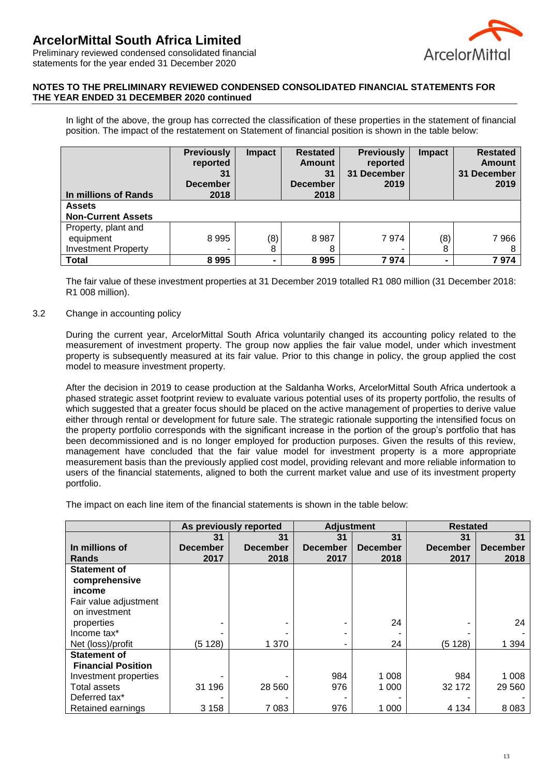

Preliminary reviewed condensed consolidated financial statements for the year ended 31 December 2020

### **NOTES TO THE PRELIMINARY REVIEWED CONDENSED CONSOLIDATED FINANCIAL STATEMENTS FOR THE YEAR ENDED 31 DECEMBER 2020 continued**

In light of the above, the group has corrected the classification of these properties in the statement of financial position. The impact of the restatement on Statement of financial position is shown in the table below:

| In millions of Rands                                           | <b>Previously</b><br>reported<br>31<br><b>December</b><br>2018 | <b>Impact</b>  | <b>Restated</b><br><b>Amount</b><br>31<br><b>December</b><br>2018 | <b>Previously</b><br>reported<br>31 December<br>2019 | <b>Impact</b>  | <b>Restated</b><br><b>Amount</b><br>31 December<br>2019 |
|----------------------------------------------------------------|----------------------------------------------------------------|----------------|-------------------------------------------------------------------|------------------------------------------------------|----------------|---------------------------------------------------------|
| <b>Assets</b><br><b>Non-Current Assets</b>                     |                                                                |                |                                                                   |                                                      |                |                                                         |
| Property, plant and<br>equipment<br><b>Investment Property</b> | 8995                                                           | (8)<br>8       | 8987<br>8                                                         | 7974                                                 | (8)<br>8       | 7966<br>8                                               |
| <b>Total</b>                                                   | 8995                                                           | $\blacksquare$ | 8995                                                              | 7974                                                 | $\blacksquare$ | 7974                                                    |

The fair value of these investment properties at 31 December 2019 totalled R1 080 million (31 December 2018: R1 008 million).

### 3.2 Change in accounting policy

During the current year, ArcelorMittal South Africa voluntarily changed its accounting policy related to the measurement of investment property. The group now applies the fair value model, under which investment property is subsequently measured at its fair value. Prior to this change in policy, the group applied the cost model to measure investment property.

After the decision in 2019 to cease production at the Saldanha Works, ArcelorMittal South Africa undertook a phased strategic asset footprint review to evaluate various potential uses of its property portfolio, the results of which suggested that a greater focus should be placed on the active management of properties to derive value either through rental or development for future sale. The strategic rationale supporting the intensified focus on the property portfolio corresponds with the significant increase in the portion of the group's portfolio that has been decommissioned and is no longer employed for production purposes. Given the results of this review, management have concluded that the fair value model for investment property is a more appropriate measurement basis than the previously applied cost model, providing relevant and more reliable information to users of the financial statements, aligned to both the current market value and use of its investment property portfolio.

The impact on each line item of the financial statements is shown in the table below:

|                                                |                 | As previously reported | <b>Adjustment</b> |                 | <b>Restated</b> |                 |
|------------------------------------------------|-----------------|------------------------|-------------------|-----------------|-----------------|-----------------|
|                                                | 31              | 31                     | 31                | 31              | 31              | 31              |
| In millions of                                 | <b>December</b> | <b>December</b>        | <b>December</b>   | <b>December</b> | <b>December</b> | <b>December</b> |
| <b>Rands</b>                                   | 2017            | 2018                   | 2017              | 2018            | 2017            | 2018            |
| <b>Statement of</b><br>comprehensive<br>income |                 |                        |                   |                 |                 |                 |
| Fair value adjustment                          |                 |                        |                   |                 |                 |                 |
| on investment                                  |                 |                        |                   |                 |                 |                 |
| properties                                     |                 |                        |                   | 24              |                 | 24              |
| Income tax*                                    |                 |                        |                   |                 |                 |                 |
| Net (loss)/profit                              | (5128)          | 1 370                  | -                 | 24              | (5128)          | 1 3 9 4         |
| <b>Statement of</b>                            |                 |                        |                   |                 |                 |                 |
| <b>Financial Position</b>                      |                 |                        |                   |                 |                 |                 |
| Investment properties                          |                 |                        | 984               | 1 0 0 8         | 984             | 1 0 0 8         |
| <b>Total assets</b>                            | 31 196          | 28 5 60                | 976               | 1 0 0 0         | 32 172          | 29 5 60         |
| Deferred tax*                                  |                 |                        |                   |                 |                 |                 |
| Retained earnings                              | 3 1 5 8         | 7 0 8 3                | 976               | 1 0 0 0         | 4 1 3 4         | 8 0 8 3         |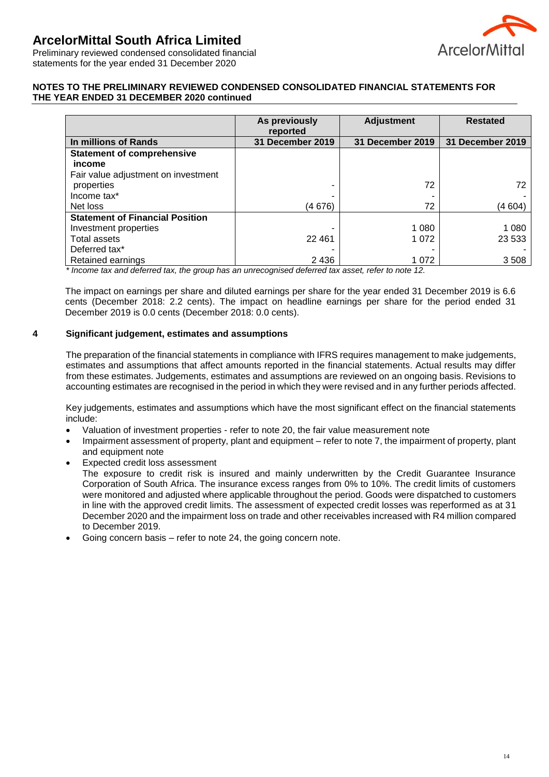

Preliminary reviewed condensed consolidated financial statements for the year ended 31 December 2020

### **NOTES TO THE PRELIMINARY REVIEWED CONDENSED CONSOLIDATED FINANCIAL STATEMENTS FOR THE YEAR ENDED 31 DECEMBER 2020 continued**

|                                             | As previously<br>reported | <b>Adjustment</b> | <b>Restated</b>  |
|---------------------------------------------|---------------------------|-------------------|------------------|
| In millions of Rands                        | <b>31 December 2019</b>   | 31 December 2019  | 31 December 2019 |
| <b>Statement of comprehensive</b><br>income |                           |                   |                  |
| Fair value adjustment on investment         |                           |                   |                  |
| properties                                  |                           | 72                | 72               |
| Income tax*                                 |                           |                   |                  |
| Net loss                                    | (4 676)                   | 72                | (4 604)          |
| <b>Statement of Financial Position</b>      |                           |                   |                  |
| Investment properties                       |                           | 1 0 8 0           | 1 0 8 0          |
| Total assets                                | 22 4 61                   | 1 0 7 2           | 23 5 33          |
| Deferred tax*                               |                           |                   |                  |
| Retained earnings                           | 2 4 3 6                   | 1 0 7 2           | 3508             |

*\* Income tax and deferred tax, the group has an unrecognised deferred tax asset, refer to note 12.*

The impact on earnings per share and diluted earnings per share for the year ended 31 December 2019 is 6.6 cents (December 2018: 2.2 cents). The impact on headline earnings per share for the period ended 31 December 2019 is 0.0 cents (December 2018: 0.0 cents).

#### **4 Significant judgement, estimates and assumptions**

The preparation of the financial statements in compliance with IFRS requires management to make judgements, estimates and assumptions that affect amounts reported in the financial statements. Actual results may differ from these estimates. Judgements, estimates and assumptions are reviewed on an ongoing basis. Revisions to accounting estimates are recognised in the period in which they were revised and in any further periods affected.

Key judgements, estimates and assumptions which have the most significant effect on the financial statements include:

- Valuation of investment properties refer to note 20, the fair value measurement note
- Impairment assessment of property, plant and equipment refer to note 7, the impairment of property, plant and equipment note
- Expected credit loss assessment The exposure to credit risk is insured and mainly underwritten by the Credit Guarantee Insurance Corporation of South Africa. The insurance excess ranges from 0% to 10%. The credit limits of customers were monitored and adjusted where applicable throughout the period. Goods were dispatched to customers in line with the approved credit limits. The assessment of expected credit losses was reperformed as at 31 December 2020 and the impairment loss on trade and other receivables increased with R4 million compared to December 2019.
- Going concern basis refer to note 24, the going concern note.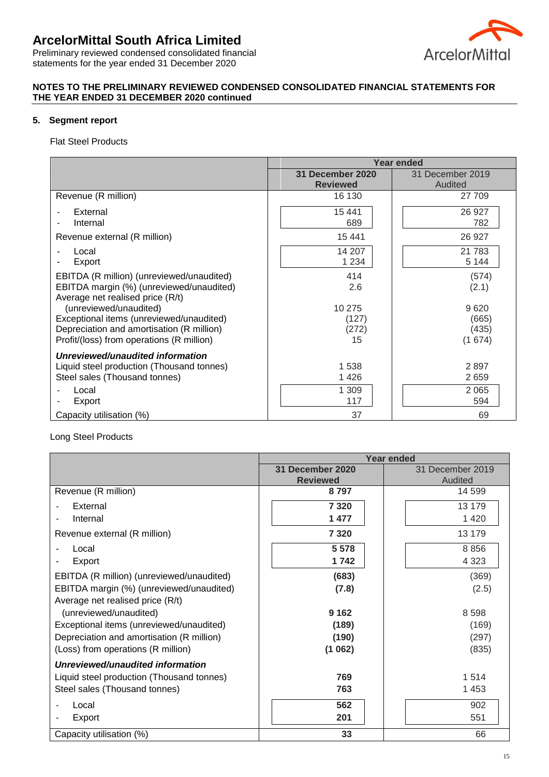

Preliminary reviewed condensed consolidated financial statements for the year ended 31 December 2020

# **NOTES TO THE PRELIMINARY REVIEWED CONDENSED CONSOLIDATED FINANCIAL STATEMENTS FOR THE YEAR ENDED 31 DECEMBER 2020 continued**

## **5. Segment report**

Flat Steel Products

|                                                                                                                                                              | Year ended                          |                                  |  |  |
|--------------------------------------------------------------------------------------------------------------------------------------------------------------|-------------------------------------|----------------------------------|--|--|
|                                                                                                                                                              | 31 December 2020<br><b>Reviewed</b> | 31 December 2019<br>Audited      |  |  |
| Revenue (R million)                                                                                                                                          | 16 130                              | 27 709                           |  |  |
| External<br>Internal                                                                                                                                         | 15 4 41<br>689                      | 26 927<br>782                    |  |  |
| Revenue external (R million)                                                                                                                                 | 15 4 41                             | 26 9 27                          |  |  |
| Local<br>Export                                                                                                                                              | 14 207<br>1 2 3 4                   | 21 7 8 3<br>5 1 4 4              |  |  |
| EBITDA (R million) (unreviewed/unaudited)<br>EBITDA margin (%) (unreviewed/unaudited)<br>Average net realised price (R/t)                                    | 414<br>2.6                          | (574)<br>(2.1)                   |  |  |
| (unreviewed/unaudited)<br>Exceptional items (unreviewed/unaudited)<br>Depreciation and amortisation (R million)<br>Profit/(loss) from operations (R million) | 10 275<br>(127)<br>(272)<br>15      | 9620<br>(665)<br>(435)<br>(1674) |  |  |
| Unreviewed/unaudited information<br>Liquid steel production (Thousand tonnes)<br>Steel sales (Thousand tonnes)                                               | 1538<br>1426                        | 2897<br>2659                     |  |  |
| Local<br>Export                                                                                                                                              | 1 309<br>117                        | 2 0 6 5<br>594                   |  |  |
| Capacity utilisation (%)                                                                                                                                     | 37                                  | 69                               |  |  |

#### Long Steel Products

|                                           |                  | <b>Year ended</b> |
|-------------------------------------------|------------------|-------------------|
|                                           | 31 December 2020 | 31 December 2019  |
|                                           | <b>Reviewed</b>  | Audited           |
| Revenue (R million)                       | 8797             | 14 599            |
| External                                  | 7 3 2 0          | 13 179            |
| Internal                                  | 1 477            | 1 4 2 0           |
| Revenue external (R million)              | 7 3 2 0          | 13 179            |
| Local                                     | 5 5 7 8          | 8856              |
| Export                                    | 1742             | 4 3 2 3           |
| EBITDA (R million) (unreviewed/unaudited) | (683)            | (369)             |
| EBITDA margin (%) (unreviewed/unaudited)  | (7.8)            | (2.5)             |
| Average net realised price (R/t)          |                  |                   |
| (unreviewed/unaudited)                    | 9 1 6 2          | 8598              |
| Exceptional items (unreviewed/unaudited)  | (189)            | (169)             |
| Depreciation and amortisation (R million) | (190)            | (297)             |
| (Loss) from operations (R million)        | (1062)           | (835)             |
| Unreviewed/unaudited information          |                  |                   |
| Liquid steel production (Thousand tonnes) | 769              | 1514              |
| Steel sales (Thousand tonnes)             | 763              | 1 4 5 3           |
| Local                                     | 562              | 902               |
| Export                                    | 201              | 551               |
| Capacity utilisation (%)                  | 33               | 66                |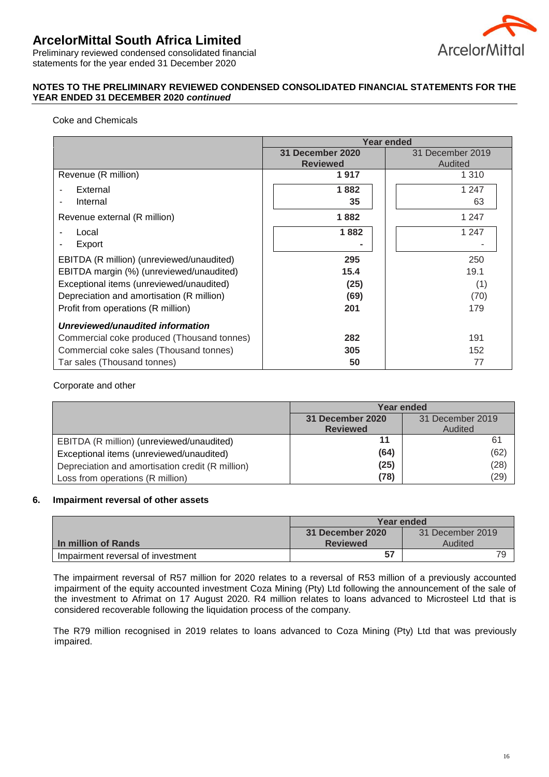

Preliminary reviewed condensed consolidated financial statements for the year ended 31 December 2020

## **NOTES TO THE PRELIMINARY REVIEWED CONDENSED CONSOLIDATED FINANCIAL STATEMENTS FOR THE YEAR ENDED 31 DECEMBER 2020** *continued*

## Coke and Chemicals

|                                            | Year ended              |                  |  |  |
|--------------------------------------------|-------------------------|------------------|--|--|
|                                            | <b>31 December 2020</b> | 31 December 2019 |  |  |
|                                            | <b>Reviewed</b>         | Audited          |  |  |
| Revenue (R million)                        | 1917                    | 1 3 1 0          |  |  |
| External                                   | 1882                    | 1 247            |  |  |
| Internal                                   | 35                      | 63               |  |  |
| Revenue external (R million)               | 1882                    | 1 247            |  |  |
| Local                                      | 1882                    | 1 2 4 7          |  |  |
| Export                                     |                         |                  |  |  |
| EBITDA (R million) (unreviewed/unaudited)  | 295                     | 250              |  |  |
| EBITDA margin (%) (unreviewed/unaudited)   | 15.4                    | 19.1             |  |  |
| Exceptional items (unreviewed/unaudited)   | (25)                    | (1)              |  |  |
| Depreciation and amortisation (R million)  | (69)                    | (70)             |  |  |
| Profit from operations (R million)         | 201                     | 179              |  |  |
| Unreviewed/unaudited information           |                         |                  |  |  |
| Commercial coke produced (Thousand tonnes) | 282                     | 191              |  |  |
| Commercial coke sales (Thousand tonnes)    | 305                     | 152              |  |  |
| Tar sales (Thousand tonnes)                | 50                      | 77               |  |  |

### Corporate and other

|                                                  | Year ended       |                  |
|--------------------------------------------------|------------------|------------------|
|                                                  | 31 December 2020 | 31 December 2019 |
|                                                  | <b>Reviewed</b>  | Audited          |
| EBITDA (R million) (unreviewed/unaudited)        |                  | 61               |
| Exceptional items (unreviewed/unaudited)         | (64)             | (62)             |
| Depreciation and amortisation credit (R million) | (25)             | (28)             |
| Loss from operations (R million)                 | (78)             | (29)             |

#### **6. Impairment reversal of other assets**

|                                   | Year ended                           |         |
|-----------------------------------|--------------------------------------|---------|
|                                   | 31 December 2020<br>31 December 2019 |         |
| In million of Rands               | <b>Reviewed</b>                      | Audited |
| Impairment reversal of investment | 57                                   | 79      |

The impairment reversal of R57 million for 2020 relates to a reversal of R53 million of a previously accounted impairment of the equity accounted investment Coza Mining (Pty) Ltd following the announcement of the sale of the investment to Afrimat on 17 August 2020. R4 million relates to loans advanced to Microsteel Ltd that is considered recoverable following the liquidation process of the company.

The R79 million recognised in 2019 relates to loans advanced to Coza Mining (Pty) Ltd that was previously impaired.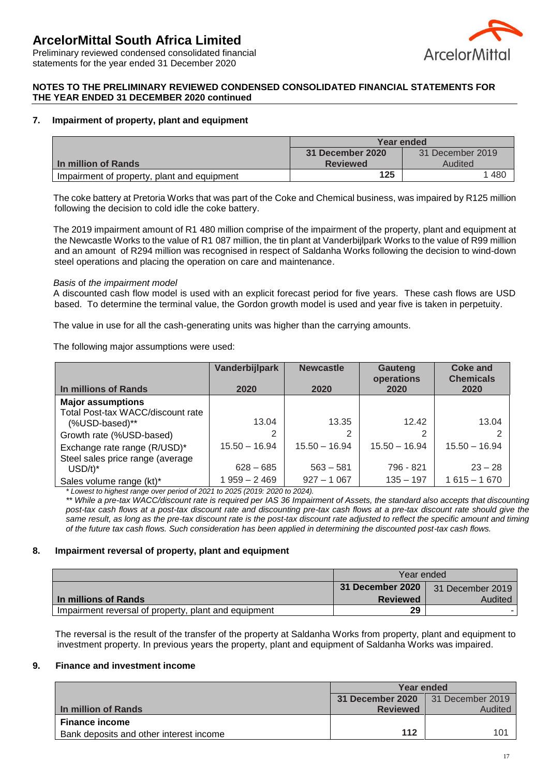

Preliminary reviewed condensed consolidated financial statements for the year ended 31 December 2020

#### **NOTES TO THE PRELIMINARY REVIEWED CONDENSED CONSOLIDATED FINANCIAL STATEMENTS FOR THE YEAR ENDED 31 DECEMBER 2020 continued**

## **7. Impairment of property, plant and equipment**

|                                             | Year ended                           |         |
|---------------------------------------------|--------------------------------------|---------|
|                                             | 31 December 2019<br>31 December 2020 |         |
| <b>In million of Rands</b>                  | <b>Reviewed</b>                      | Audited |
| Impairment of property, plant and equipment | 125                                  | 480     |

The coke battery at Pretoria Works that was part of the Coke and Chemical business, was impaired by R125 million following the decision to cold idle the coke battery.

The 2019 impairment amount of R1 480 million comprise of the impairment of the property, plant and equipment at the Newcastle Works to the value of R1 087 million, the tin plant at Vanderbijlpark Works to the value of R99 million and an amount of R294 million was recognised in respect of Saldanha Works following the decision to wind-down steel operations and placing the operation on care and maintenance.

#### *Basis* of *the impairment model*

A discounted cash flow model is used with an explicit forecast period for five years. These cash flows are USD based. To determine the terminal value, the Gordon growth model is used and year five is taken in perpetuity.

The value in use for all the cash-generating units was higher than the carrying amounts.

The following major assumptions were used:

|                                   | Vanderbijlpark  | <b>Newcastle</b> | Gauteng<br>operations | <b>Coke and</b><br><b>Chemicals</b> |
|-----------------------------------|-----------------|------------------|-----------------------|-------------------------------------|
| In millions of Rands              | 2020            | 2020             | 2020                  | 2020                                |
| <b>Major assumptions</b>          |                 |                  |                       |                                     |
| Total Post-tax WACC/discount rate |                 |                  |                       |                                     |
| (%USD-based)**                    | 13.04           | 13.35            | 12.42                 | 13.04                               |
| Growth rate (%USD-based)          |                 | 2                |                       |                                     |
| Exchange rate range (R/USD)*      | $15.50 - 16.94$ | $15.50 - 16.94$  | $15.50 - 16.94$       | $15.50 - 16.94$                     |
| Steel sales price range (average  |                 |                  |                       |                                     |
| $USD/t$ <sup>*</sup>              | $628 - 685$     | $563 - 581$      | 796 - 821             | $23 - 28$                           |
| Sales volume range (kt)*          | 1959 - 2469     | $927 - 1067$     | $135 - 197$           | $1615 - 1670$                       |

*\* Lowest to highest range over period of 2021 to 2025 (2019: 2020 to 2024).*

*\*\* While a pre-tax WACC/discount rate is required per IAS 36 Impairment of Assets, the standard also accepts that discounting post-tax cash flows at a post-tax discount rate and discounting pre-tax cash flows at a pre-tax discount rate should give the same result, as long as the pre-tax discount rate is the post-tax discount rate adjusted to reflect the specific amount and timing of the future tax cash flows. Such consideration has been applied in determining the discounted post-tax cash flows.*

#### **8. Impairment reversal of property, plant and equipment**

|                                                      | Year ended                           |         |
|------------------------------------------------------|--------------------------------------|---------|
|                                                      | 31 December 2020<br>31 December 2019 |         |
| In millions of Rands                                 | <b>Reviewed</b>                      | Audited |
| Impairment reversal of property, plant and equipment | 29                                   |         |

The reversal is the result of the transfer of the property at Saldanha Works from property, plant and equipment to investment property. In previous years the property, plant and equipment of Saldanha Works was impaired.

#### **9. Finance and investment income**

|                                         | Year ended              |                  |
|-----------------------------------------|-------------------------|------------------|
|                                         | <b>31 December 2020</b> | 31 December 2019 |
| In million of Rands                     | <b>Reviewed</b>         | Audited          |
| <b>Finance income</b>                   |                         |                  |
| Bank deposits and other interest income | 112                     | 101              |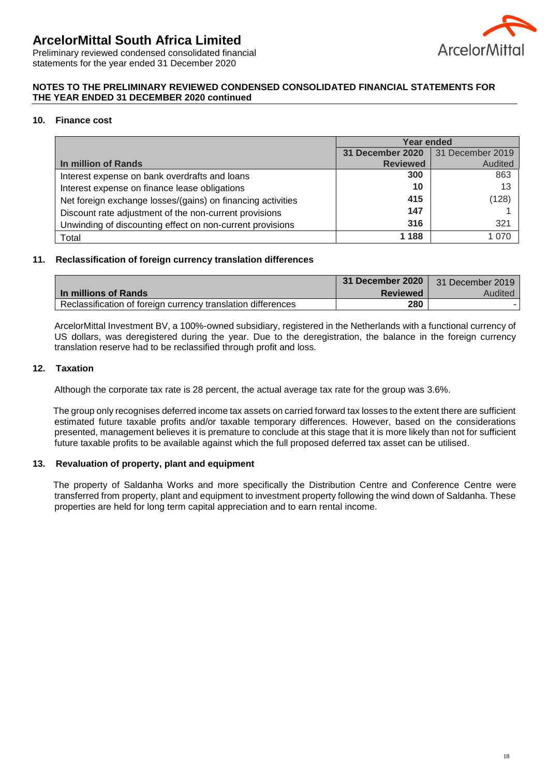

Preliminary reviewed condensed consolidated financial statements for the year ended 31 December 2020

### **NOTES TO THE PRELIMINARY REVIEWED CONDENSED CONSOLIDATED FINANCIAL STATEMENTS FOR THE YEAR ENDED 31 DECEMBER 2020 continued**

### **10. Finance cost**

|                                                             | <b>Year ended</b>       |                  |
|-------------------------------------------------------------|-------------------------|------------------|
|                                                             | <b>31 December 2020</b> | 31 December 2019 |
| In million of Rands                                         | <b>Reviewed</b>         | Audited          |
| Interest expense on bank overdrafts and loans               | 300                     | 863              |
| Interest expense on finance lease obligations               | 10                      | 13               |
| Net foreign exchange losses/(gains) on financing activities | 415                     | (128)            |
| Discount rate adjustment of the non-current provisions      | 147                     |                  |
| Unwinding of discounting effect on non-current provisions   | 316                     | 321              |
| Total                                                       | 1 1 8 8                 | _ሰ7ር             |

#### **11. Reclassification of foreign currency translation differences**

|                                                              | 31 December 2020 | 31 December 2019 |
|--------------------------------------------------------------|------------------|------------------|
| In millions of Rands                                         | <b>Reviewed</b>  | Audited          |
| Reclassification of foreign currency translation differences | 280              |                  |

ArcelorMittal Investment BV, a 100%-owned subsidiary, registered in the Netherlands with a functional currency of US dollars, was deregistered during the year. Due to the deregistration, the balance in the foreign currency translation reserve had to be reclassified through profit and loss.

#### **12. Taxation**

Although the corporate tax rate is 28 percent, the actual average tax rate for the group was 3.6%.

The group only recognises deferred income tax assets on carried forward tax losses to the extent there are sufficient estimated future taxable profits and/or taxable temporary differences. However, based on the considerations presented, management believes it is premature to conclude at this stage that it is more likely than not for sufficient future taxable profits to be available against which the full proposed deferred tax asset can be utilised.

#### **13. Revaluation of property, plant and equipment**

The property of Saldanha Works and more specifically the Distribution Centre and Conference Centre were transferred from property, plant and equipment to investment property following the wind down of Saldanha. These properties are held for long term capital appreciation and to earn rental income.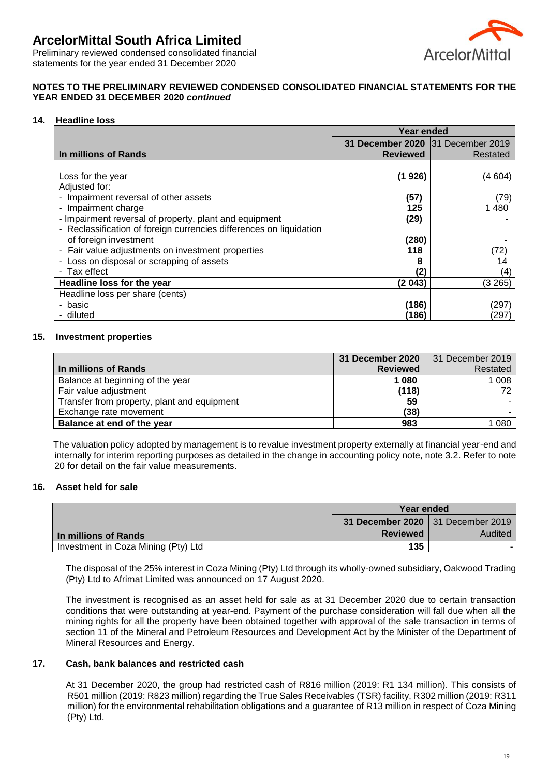

Preliminary reviewed condensed consolidated financial statements for the year ended 31 December 2020

## **NOTES TO THE PRELIMINARY REVIEWED CONDENSED CONSOLIDATED FINANCIAL STATEMENTS FOR THE YEAR ENDED 31 DECEMBER 2020** *continued*

#### **14. Headline loss**

|                                                                     | Year ended                        |          |
|---------------------------------------------------------------------|-----------------------------------|----------|
|                                                                     | 31 December 2020 31 December 2019 |          |
| In millions of Rands                                                | <b>Reviewed</b>                   | Restated |
|                                                                     |                                   |          |
| Loss for the year                                                   | (1 926)                           | (4604)   |
| Adjusted for:                                                       |                                   |          |
| - Impairment reversal of other assets                               | (57)                              | (79)     |
| Impairment charge<br>$\overline{\phantom{a}}$                       | 125                               | 1480     |
| - Impairment reversal of property, plant and equipment              | (29)                              |          |
| - Reclassification of foreign currencies differences on liquidation |                                   |          |
| of foreign investment                                               | (280)                             |          |
| - Fair value adjustments on investment properties                   | 118                               |          |
| - Loss on disposal or scrapping of assets                           | 8                                 |          |
| - Tax effect                                                        | (2)                               | (4)      |
| Headline loss for the year                                          | (2043)                            | (3265)   |
| Headline loss per share (cents)                                     |                                   |          |
| - basic                                                             | (186)                             | (297)    |
| - diluted                                                           | (186)                             | (297)    |

#### **15. Investment properties**

|                                             |                 | 31 December 2020   31 December 2019 |
|---------------------------------------------|-----------------|-------------------------------------|
| In millions of Rands                        | <b>Reviewed</b> | Restated                            |
| Balance at beginning of the year            | 1 0 8 0         | 1 0 0 8                             |
| Fair value adjustment                       | (118)           | 72                                  |
| Transfer from property, plant and equipment | 59              |                                     |
| Exchange rate movement                      | (38)            |                                     |
| Balance at end of the year                  | 983             | 080                                 |

The valuation policy adopted by management is to revalue investment property externally at financial year-end and internally for interim reporting purposes as detailed in the change in accounting policy note, note 3.2. Refer to note 20 for detail on the fair value measurements.

#### **16. Asset held for sale**

|                                     | Year ended                        |         |
|-------------------------------------|-----------------------------------|---------|
|                                     | 31 December 2020 31 December 2019 |         |
| In millions of Rands                | <b>Reviewed</b>                   | Audited |
| Investment in Coza Mining (Pty) Ltd | 135                               |         |

The disposal of the 25% interest in Coza Mining (Pty) Ltd through its wholly-owned subsidiary, Oakwood Trading (Pty) Ltd to Afrimat Limited was announced on 17 August 2020.

The investment is recognised as an asset held for sale as at 31 December 2020 due to certain transaction conditions that were outstanding at year-end. Payment of the purchase consideration will fall due when all the mining rights for all the property have been obtained together with approval of the sale transaction in terms of section 11 of the Mineral and Petroleum Resources and Development Act by the Minister of the Department of Mineral Resources and Energy.

#### **17. Cash, bank balances and restricted cash**

At 31 December 2020, the group had restricted cash of R816 million (2019: R1 134 million). This consists of R501 million (2019: R823 million) regarding the True Sales Receivables (TSR) facility, R302 million (2019: R311 million) for the environmental rehabilitation obligations and a guarantee of R13 million in respect of Coza Mining (Pty) Ltd.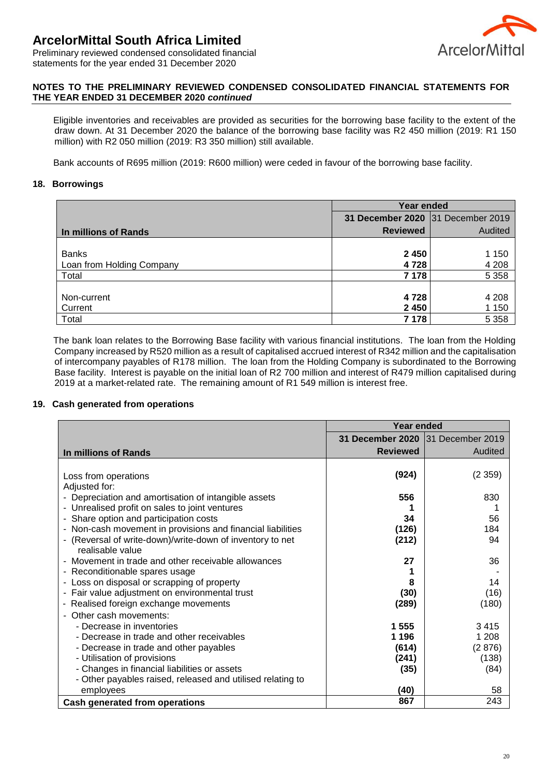

Preliminary reviewed condensed consolidated financial statements for the year ended 31 December 2020

### **NOTES TO THE PRELIMINARY REVIEWED CONDENSED CONSOLIDATED FINANCIAL STATEMENTS FOR THE YEAR ENDED 31 DECEMBER 2020** *continued*

Eligible inventories and receivables are provided as securities for the borrowing base facility to the extent of the draw down. At 31 December 2020 the balance of the borrowing base facility was R2 450 million (2019: R1 150 million) with R2 050 million (2019: R3 350 million) still available.

Bank accounts of R695 million (2019: R600 million) were ceded in favour of the borrowing base facility.

## **18. Borrowings**

|                           | Year ended                        |         |
|---------------------------|-----------------------------------|---------|
|                           | 31 December 2020 31 December 2019 |         |
| In millions of Rands      | <b>Reviewed</b>                   | Audited |
|                           |                                   |         |
| <b>Banks</b>              | 2 4 5 0                           | 1 150   |
| Loan from Holding Company | 4728                              | 4 2 0 8 |
| Total                     | 7 178                             | 5 3 5 8 |
|                           |                                   |         |
| Non-current               | 4728                              | 4 2 0 8 |
| Current                   | 2 4 5 0                           | 1 150   |
| Total                     | 7 1 7 8                           | 5 3 5 8 |

The bank loan relates to the Borrowing Base facility with various financial institutions. The loan from the Holding Company increased by R520 million as a result of capitalised accrued interest of R342 million and the capitalisation of intercompany payables of R178 million. The loan from the Holding Company is subordinated to the Borrowing Base facility. Interest is payable on the initial loan of R2 700 million and interest of R479 million capitalised during 2019 at a market-related rate. The remaining amount of R1 549 million is interest free.

#### **19. Cash generated from operations**

|                                                             | <b>Year ended</b>                 |         |
|-------------------------------------------------------------|-----------------------------------|---------|
|                                                             | 31 December 2020 31 December 2019 |         |
| In millions of Rands                                        | <b>Reviewed</b>                   | Audited |
|                                                             |                                   |         |
| Loss from operations                                        | (924)                             | (2359)  |
| Adjusted for:                                               |                                   |         |
| - Depreciation and amortisation of intangible assets        | 556                               | 830     |
| - Unrealised profit on sales to joint ventures              |                                   |         |
| - Share option and participation costs                      | 34                                | 56      |
| - Non-cash movement in provisions and financial liabilities | (126)                             | 184     |
| (Reversal of write-down)/write-down of inventory to net     | (212)                             | 94      |
| realisable value                                            |                                   |         |
| - Movement in trade and other receivable allowances         | 27                                | 36      |
| - Reconditionable spares usage                              |                                   |         |
| - Loss on disposal or scrapping of property                 | 8                                 | 14      |
| - Fair value adjustment on environmental trust              | (30)                              | (16)    |
| - Realised foreign exchange movements                       | (289)                             | (180)   |
| - Other cash movements:                                     |                                   |         |
| - Decrease in inventories                                   | 1 555                             | 3415    |
| - Decrease in trade and other receivables                   | 1 1 9 6                           | 1 208   |
| - Decrease in trade and other payables                      | (614)                             | (2876)  |
| - Utilisation of provisions                                 | (241)                             | (138)   |
| - Changes in financial liabilities or assets                | (35)                              | (84)    |
| - Other payables raised, released and utilised relating to  |                                   |         |
| employees                                                   | (40)<br>867                       | 58      |
| <b>Cash generated from operations</b>                       |                                   | 243     |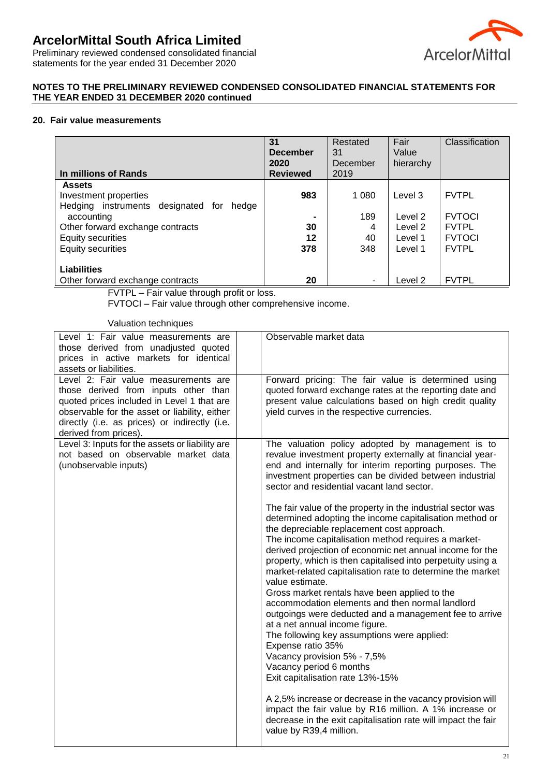

Preliminary reviewed condensed consolidated financial statements for the year ended 31 December 2020

### **NOTES TO THE PRELIMINARY REVIEWED CONDENSED CONSOLIDATED FINANCIAL STATEMENTS FOR THE YEAR ENDED 31 DECEMBER 2020 continued**

#### **20. Fair value measurements**

| In millions of Rands                                                                                                                                                                               | 31<br><b>December</b><br>2020<br><b>Reviewed</b> | Restated<br>31<br>December<br>2019 | Fair<br>Value<br>hierarchy                          | Classification                                                                 |
|----------------------------------------------------------------------------------------------------------------------------------------------------------------------------------------------------|--------------------------------------------------|------------------------------------|-----------------------------------------------------|--------------------------------------------------------------------------------|
| <b>Assets</b><br>Investment properties<br>Hedging instruments designated<br>hedge<br>for<br>accounting<br>Other forward exchange contracts<br><b>Equity securities</b><br><b>Equity securities</b> | 983<br>30<br>12<br>378                           | 1 080<br>189<br>4<br>40<br>348     | Level 3<br>Level 2<br>Level 2<br>Level 1<br>Level 1 | <b>FVTPL</b><br><b>FVTOCI</b><br><b>FVTPL</b><br><b>FVTOCI</b><br><b>FVTPL</b> |
| Liabilities<br>Other forward exchange contracts                                                                                                                                                    | 20                                               | $\blacksquare$                     | Level 2                                             | <b>FVTPL</b>                                                                   |

FVTPL – Fair value through profit or loss.

FVTOCI – Fair value through other comprehensive income.

Valuation techniques

| Level 1: Fair value measurements are<br>those derived from unadjusted quoted<br>prices in active markets for identical<br>assets or liabilities.                                                                                                      | Observable market data                                                                                                                                                                                                                                                                                                                                                                                                                                                                                                                                                                                                                                                                                                                                                                                                                                                                                                                                                                                                       |
|-------------------------------------------------------------------------------------------------------------------------------------------------------------------------------------------------------------------------------------------------------|------------------------------------------------------------------------------------------------------------------------------------------------------------------------------------------------------------------------------------------------------------------------------------------------------------------------------------------------------------------------------------------------------------------------------------------------------------------------------------------------------------------------------------------------------------------------------------------------------------------------------------------------------------------------------------------------------------------------------------------------------------------------------------------------------------------------------------------------------------------------------------------------------------------------------------------------------------------------------------------------------------------------------|
| Level 2: Fair value measurements are<br>those derived from inputs other than<br>quoted prices included in Level 1 that are<br>observable for the asset or liability, either<br>directly (i.e. as prices) or indirectly (i.e.<br>derived from prices). | Forward pricing: The fair value is determined using<br>quoted forward exchange rates at the reporting date and<br>present value calculations based on high credit quality<br>yield curves in the respective currencies.                                                                                                                                                                                                                                                                                                                                                                                                                                                                                                                                                                                                                                                                                                                                                                                                      |
| Level 3: Inputs for the assets or liability are<br>not based on observable market data<br>(unobservable inputs)                                                                                                                                       | The valuation policy adopted by management is to<br>revalue investment property externally at financial year-<br>end and internally for interim reporting purposes. The<br>investment properties can be divided between industrial<br>sector and residential vacant land sector.                                                                                                                                                                                                                                                                                                                                                                                                                                                                                                                                                                                                                                                                                                                                             |
|                                                                                                                                                                                                                                                       | The fair value of the property in the industrial sector was<br>determined adopting the income capitalisation method or<br>the depreciable replacement cost approach.<br>The income capitalisation method requires a market-<br>derived projection of economic net annual income for the<br>property, which is then capitalised into perpetuity using a<br>market-related capitalisation rate to determine the market<br>value estimate.<br>Gross market rentals have been applied to the<br>accommodation elements and then normal landlord<br>outgoings were deducted and a management fee to arrive<br>at a net annual income figure.<br>The following key assumptions were applied:<br>Expense ratio 35%<br>Vacancy provision 5% - 7,5%<br>Vacancy period 6 months<br>Exit capitalisation rate 13%-15%<br>A 2,5% increase or decrease in the vacancy provision will<br>impact the fair value by R16 million. A 1% increase or<br>decrease in the exit capitalisation rate will impact the fair<br>value by R39,4 million. |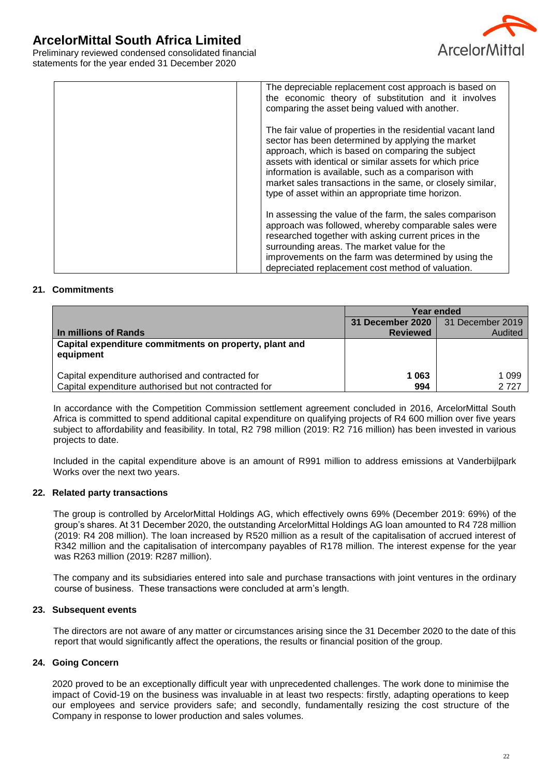

Preliminary reviewed condensed consolidated financial statements for the year ended 31 December 2020

| The depreciable replacement cost approach is based on<br>the economic theory of substitution and it involves<br>comparing the asset being valued with another.                                                                                                                                                                                                                                             |  |
|------------------------------------------------------------------------------------------------------------------------------------------------------------------------------------------------------------------------------------------------------------------------------------------------------------------------------------------------------------------------------------------------------------|--|
| The fair value of properties in the residential vacant land<br>sector has been determined by applying the market<br>approach, which is based on comparing the subject<br>assets with identical or similar assets for which price<br>information is available, such as a comparison with<br>market sales transactions in the same, or closely similar,<br>type of asset within an appropriate time horizon. |  |
| In assessing the value of the farm, the sales comparison<br>approach was followed, whereby comparable sales were<br>researched together with asking current prices in the<br>surrounding areas. The market value for the<br>improvements on the farm was determined by using the<br>depreciated replacement cost method of valuation.                                                                      |  |

### **21. Commitments**

|                                                                     | Year ended       |                  |
|---------------------------------------------------------------------|------------------|------------------|
|                                                                     | 31 December 2020 | 31 December 2019 |
| In millions of Rands                                                | <b>Reviewed</b>  | Audited          |
| Capital expenditure commitments on property, plant and<br>equipment |                  |                  |
| Capital expenditure authorised and contracted for                   | 1 063            | 1 099            |
| Capital expenditure authorised but not contracted for               | 994              | 2 727            |

In accordance with the Competition Commission settlement agreement concluded in 2016, ArcelorMittal South Africa is committed to spend additional capital expenditure on qualifying projects of R4 600 million over five years subject to affordability and feasibility. In total, R2 798 million (2019: R2 716 million) has been invested in various projects to date.

Included in the capital expenditure above is an amount of R991 million to address emissions at Vanderbijlpark Works over the next two years.

#### **22. Related party transactions**

The group is controlled by ArcelorMittal Holdings AG, which effectively owns 69% (December 2019: 69%) of the group's shares. At 31 December 2020, the outstanding ArcelorMittal Holdings AG loan amounted to R4 728 million (2019: R4 208 million). The loan increased by R520 million as a result of the capitalisation of accrued interest of R342 million and the capitalisation of intercompany payables of R178 million. The interest expense for the year was R263 million (2019: R287 million).

The company and its subsidiaries entered into sale and purchase transactions with joint ventures in the ordinary course of business. These transactions were concluded at arm's length.

### **23. Subsequent events**

The directors are not aware of any matter or circumstances arising since the 31 December 2020 to the date of this report that would significantly affect the operations, the results or financial position of the group.

#### **24. Going Concern**

2020 proved to be an exceptionally difficult year with unprecedented challenges. The work done to minimise the impact of Covid-19 on the business was invaluable in at least two respects: firstly, adapting operations to keep our employees and service providers safe; and secondly, fundamentally resizing the cost structure of the Company in response to lower production and sales volumes.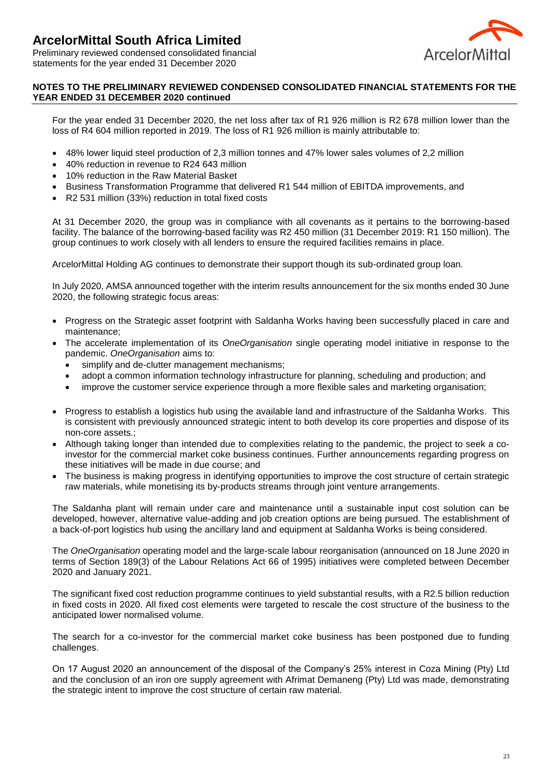

Preliminary reviewed condensed consolidated financial statements for the year ended 31 December 2020

## **NOTES TO THE PRELIMINARY REVIEWED CONDENSED CONSOLIDATED FINANCIAL STATEMENTS FOR THE YEAR ENDED 31 DECEMBER 2020 continued**

For the year ended 31 December 2020, the net loss after tax of R1 926 million is R2 678 million lower than the loss of R4 604 million reported in 2019. The loss of R1 926 million is mainly attributable to:

- 48% lower liquid steel production of 2,3 million tonnes and 47% lower sales volumes of 2,2 million
- 40% reduction in revenue to R24 643 million
- 10% reduction in the Raw Material Basket
- Business Transformation Programme that delivered R1 544 million of EBITDA improvements, and
- R2 531 million (33%) reduction in total fixed costs

At 31 December 2020, the group was in compliance with all covenants as it pertains to the borrowing-based facility. The balance of the borrowing-based facility was R2 450 million (31 December 2019: R1 150 million). The group continues to work closely with all lenders to ensure the required facilities remains in place.

ArcelorMittal Holding AG continues to demonstrate their support though its sub-ordinated group loan.

In July 2020, AMSA announced together with the interim results announcement for the six months ended 30 June 2020, the following strategic focus areas:

- Progress on the Strategic asset footprint with Saldanha Works having been successfully placed in care and maintenance;
- The accelerate implementation of its *OneOrganisation* single operating model initiative in response to the pandemic. *OneOrganisation* aims to:
	- simplify and de-clutter management mechanisms;
	- adopt a common information technology infrastructure for planning, scheduling and production; and
	- improve the customer service experience through a more flexible sales and marketing organisation;
- Progress to establish a logistics hub using the available land and infrastructure of the Saldanha Works. This is consistent with previously announced strategic intent to both develop its core properties and dispose of its non-core assets.;
- Although taking longer than intended due to complexities relating to the pandemic, the project to seek a coinvestor for the commercial market coke business continues. Further announcements regarding progress on these initiatives will be made in due course; and
- The business is making progress in identifying opportunities to improve the cost structure of certain strategic raw materials, while monetising its by-products streams through joint venture arrangements.

The Saldanha plant will remain under care and maintenance until a sustainable input cost solution can be developed, however, alternative value-adding and job creation options are being pursued. The establishment of a back-of-port logistics hub using the ancillary land and equipment at Saldanha Works is being considered.

The *OneOrganisation* operating model and the large-scale labour reorganisation (announced on 18 June 2020 in terms of Section 189(3) of the Labour Relations Act 66 of 1995) initiatives were completed between December 2020 and January 2021.

The significant fixed cost reduction programme continues to yield substantial results, with a R2.5 billion reduction in fixed costs in 2020. All fixed cost elements were targeted to rescale the cost structure of the business to the anticipated lower normalised volume.

The search for a co-investor for the commercial market coke business has been postponed due to funding challenges.

On 17 August 2020 an announcement of the disposal of the Company's 25% interest in Coza Mining (Pty) Ltd and the conclusion of an iron ore supply agreement with Afrimat Demaneng (Pty) Ltd was made, demonstrating the strategic intent to improve the cost structure of certain raw material.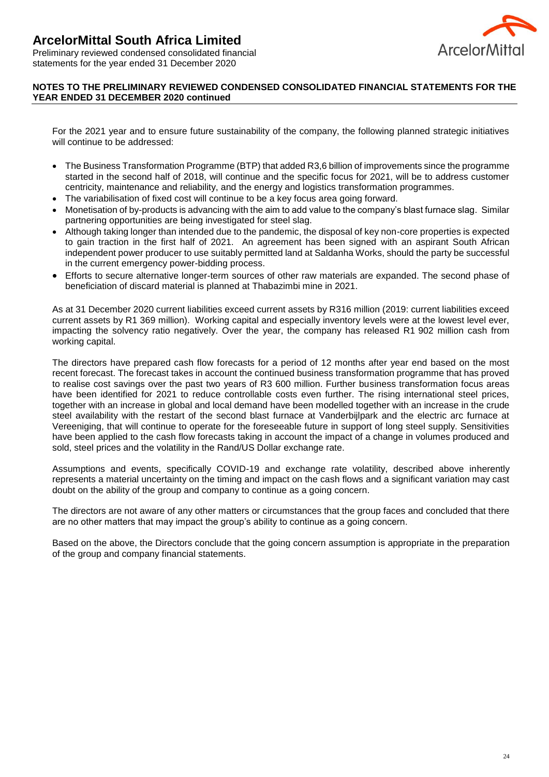

Preliminary reviewed condensed consolidated financial statements for the year ended 31 December 2020

## **NOTES TO THE PRELIMINARY REVIEWED CONDENSED CONSOLIDATED FINANCIAL STATEMENTS FOR THE YEAR ENDED 31 DECEMBER 2020 continued**

For the 2021 year and to ensure future sustainability of the company, the following planned strategic initiatives will continue to be addressed:

- The Business Transformation Programme (BTP) that added R3,6 billion of improvements since the programme started in the second half of 2018, will continue and the specific focus for 2021, will be to address customer centricity, maintenance and reliability, and the energy and logistics transformation programmes.
- The variabilisation of fixed cost will continue to be a key focus area going forward.
- Monetisation of by-products is advancing with the aim to add value to the company's blast furnace slag. Similar partnering opportunities are being investigated for steel slag.
- Although taking longer than intended due to the pandemic, the disposal of key non-core properties is expected to gain traction in the first half of 2021. An agreement has been signed with an aspirant South African independent power producer to use suitably permitted land at Saldanha Works, should the party be successful in the current emergency power-bidding process.
- Efforts to secure alternative longer-term sources of other raw materials are expanded. The second phase of beneficiation of discard material is planned at Thabazimbi mine in 2021.

As at 31 December 2020 current liabilities exceed current assets by R316 million (2019: current liabilities exceed current assets by R1 369 million). Working capital and especially inventory levels were at the lowest level ever, impacting the solvency ratio negatively. Over the year, the company has released R1 902 million cash from working capital.

The directors have prepared cash flow forecasts for a period of 12 months after year end based on the most recent forecast. The forecast takes in account the continued business transformation programme that has proved to realise cost savings over the past two years of R3 600 million. Further business transformation focus areas have been identified for 2021 to reduce controllable costs even further. The rising international steel prices, together with an increase in global and local demand have been modelled together with an increase in the crude steel availability with the restart of the second blast furnace at Vanderbijlpark and the electric arc furnace at Vereeniging, that will continue to operate for the foreseeable future in support of long steel supply. Sensitivities have been applied to the cash flow forecasts taking in account the impact of a change in volumes produced and sold, steel prices and the volatility in the Rand/US Dollar exchange rate.

Assumptions and events, specifically COVID-19 and exchange rate volatility, described above inherently represents a material uncertainty on the timing and impact on the cash flows and a significant variation may cast doubt on the ability of the group and company to continue as a going concern.

The directors are not aware of any other matters or circumstances that the group faces and concluded that there are no other matters that may impact the group's ability to continue as a going concern.

Based on the above, the Directors conclude that the going concern assumption is appropriate in the preparation of the group and company financial statements.